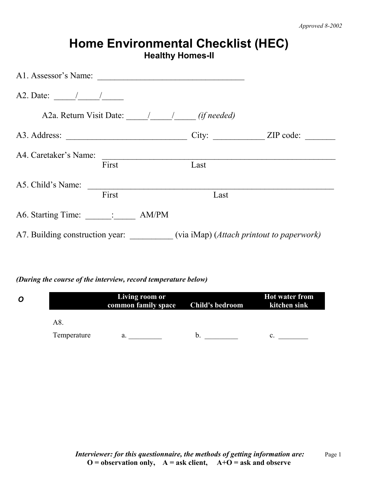|                                         |       | <b>Healthy Homes-II</b> | <b>Home Environmental Checklist (HEC)</b>                                 |
|-----------------------------------------|-------|-------------------------|---------------------------------------------------------------------------|
| A1. Assessor's Name:                    |       |                         |                                                                           |
|                                         |       |                         |                                                                           |
| A2a. Return Visit Date: 1 1 (if needed) |       |                         |                                                                           |
|                                         |       |                         |                                                                           |
| A4. Caretaker's Name:                   |       |                         |                                                                           |
|                                         | First | Last                    |                                                                           |
| A5. Child's Name:                       |       |                         |                                                                           |
|                                         | First | Last                    |                                                                           |
|                                         |       |                         |                                                                           |
|                                         |       |                         | A7. Building construction year: (via iMap) (Attach printout to paperwork) |

## *(During the course of the interview, record temperature below)*

| O |             | Living room or<br>common family space | Child's bedroom | <b>Hot water from</b><br>kitchen sink |
|---|-------------|---------------------------------------|-----------------|---------------------------------------|
|   | A8.         |                                       |                 |                                       |
|   | Temperature | a.                                    |                 |                                       |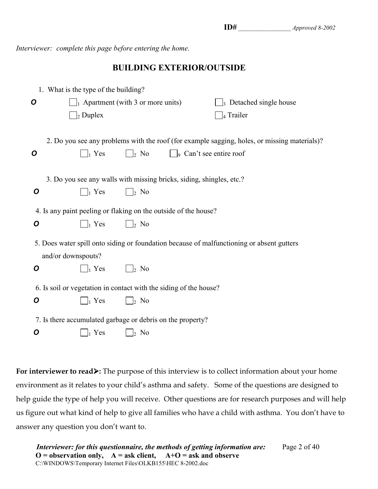*Interviewer: complete this page before entering the home.*

#### **BUILDING EXTERIOR/OUTSIDE**

|   | 1. What is the type of the building?                                 |                                         |                                                                                              |  |
|---|----------------------------------------------------------------------|-----------------------------------------|----------------------------------------------------------------------------------------------|--|
| O |                                                                      | $\Box$ Apartment (with 3 or more units) | $\frac{1}{3}$ Detached single house                                                          |  |
|   | $\Box$ <sub>2</sub> Duplex                                           |                                         | $\Box$ 4 Trailer                                                                             |  |
|   |                                                                      |                                         |                                                                                              |  |
|   |                                                                      |                                         | 2. Do you see any problems with the roof (for example sagging, holes, or missing materials)? |  |
| O | $\vert_1$ Yes                                                        | $\frac{1}{2}$ No                        | $\Box$ <sub>9</sub> Can't see entire roof                                                    |  |
|   |                                                                      |                                         |                                                                                              |  |
|   | 3. Do you see any walls with missing bricks, siding, shingles, etc.? |                                         |                                                                                              |  |
| O | $\vert_1$ Yes                                                        | $\vert \ \vert_2$ No                    |                                                                                              |  |
|   |                                                                      |                                         |                                                                                              |  |
|   | 4. Is any paint peeling or flaking on the outside of the house?      |                                         |                                                                                              |  |
| O | $\vert_1$ Yes                                                        | $\vert \vert_2$ No                      |                                                                                              |  |
|   |                                                                      |                                         | 5. Does water spill onto siding or foundation because of malfunctioning or absent gutters    |  |
|   | and/or downspouts?                                                   |                                         |                                                                                              |  |
| 0 | $\parallel$ Yes                                                      | $\vert$ $\vert_2$ No                    |                                                                                              |  |
|   |                                                                      |                                         |                                                                                              |  |
|   | 6. Is soil or vegetation in contact with the siding of the house?    |                                         |                                                                                              |  |
| O | $\Box$ Yes                                                           | $\bigsqcup_2$ No                        |                                                                                              |  |
|   | 7. Is there accumulated garbage or debris on the property?           |                                         |                                                                                              |  |
|   |                                                                      |                                         |                                                                                              |  |
| 0 | $\parallel$ Yes                                                      | $\vert_2$ No                            |                                                                                              |  |

**For interviewer to read»:** The purpose of this interview is to collect information about your home environment as it relates to your child's asthma and safety. Some of the questions are designed to help guide the type of help you will receive. Other questions are for research purposes and will help us figure out what kind of help to give all families who have a child with asthma. You don't have to answer any question you don't want to.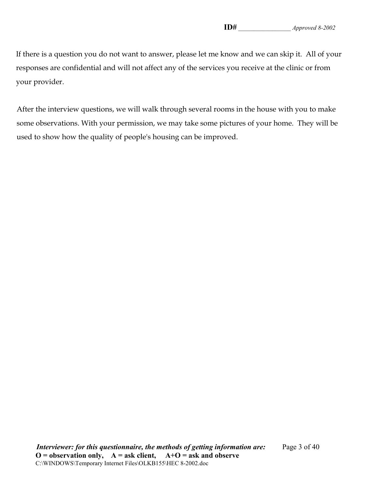If there is a question you do not want to answer, please let me know and we can skip it. All of your responses are confidential and will not affect any of the services you receive at the clinic or from your provider.

After the interview questions, we will walk through several rooms in the house with you to make some observations. With your permission, we may take some pictures of your home. They will be used to show how the quality of people's housing can be improved.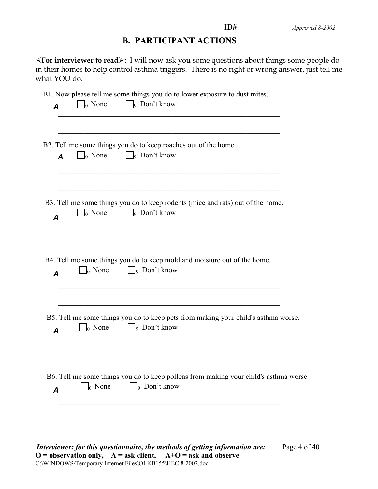## **B. PARTICIPANT ACTIONS**

½**For interviewer to read**¾**:** I will now ask you some questions about things some people do in their homes to help control asthma triggers. There is no right or wrong answer, just tell me what YOU do.

B1. Now please tell me some things you do to lower exposure to dust mites.

| A                | $\vert$ 0 None           | B2. Tell me some things you do to keep roaches out of the home.<br>$\Box$ <sub>9</sub> Don't know                      |
|------------------|--------------------------|------------------------------------------------------------------------------------------------------------------------|
| $\overline{A}$   | $\vert$ None             | B3. Tell me some things you do to keep rodents (mice and rats) out of the home.<br>9 Don't know                        |
| $\boldsymbol{A}$ | $\vert_0$ None           | B4. Tell me some things you do to keep mold and moisture out of the home.<br>$\vert \ \vert_9$ Don't know              |
| $\boldsymbol{A}$ | $\Box$ <sub>0</sub> None | B5. Tell me some things you do to keep pets from making your child's asthma worse.<br>$\Box$ <sub>9</sub> Don't know   |
|                  |                          | B6. Tell me some things you do to keep pollens from making your child's asthma worse<br>$\Box$ <sub>9</sub> Don't know |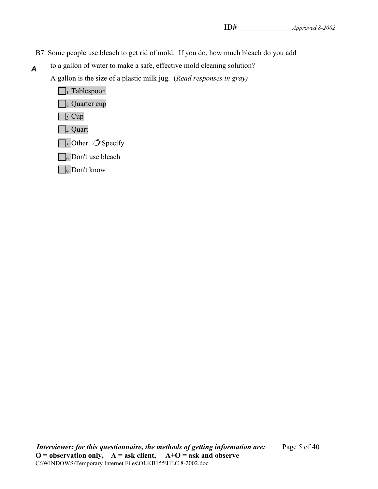- B7. Some people use bleach to get rid of mold. If you do, how much bleach do you add
- to a gallon of water to make a safe, effective mold cleaning solution? *A*

A gallon is the size of a plastic milk jug. (*Read responses in gray)*

 $\Box$ <sub>1</sub> Tablespoon  $\Box$ <sub>2</sub> Quarter cup  $\Box_3$  Cup  $\Box$ 4 Quart 5 Other Specify \_\_\_\_\_\_\_\_\_\_\_\_\_\_\_\_\_\_\_\_\_\_\_\_  $\Box$ 6 Don't use bleach

□9 Don't know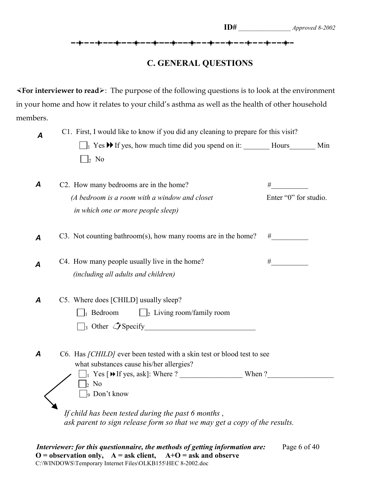## **C. GENERAL QUESTIONS**

 $\leq$  **For interviewer to read**  $\geq$ : The purpose of the following questions is to look at the environment in your home and how it relates to your child's asthma as well as the health of other household members.

| A | C1. First, I would like to know if you did any cleaning to prepare for this visit?  |                       |     |
|---|-------------------------------------------------------------------------------------|-----------------------|-----|
|   | $\Box$ Yes $\blacktriangleright$ If yes, how much time did you spend on it:         | Hours                 | Min |
|   | $\vert_2$ No                                                                        |                       |     |
| A | C2. How many bedrooms are in the home?                                              | #                     |     |
|   | (A bedroom is a room with a window and closet<br>in which one or more people sleep) | Enter "0" for studio. |     |
| A | C3. Not counting bathroom(s), how many rooms are in the home?                       | #                     |     |

| C4. How many people usually live in the home? |  |
|-----------------------------------------------|--|
| <i>(including all adults and children)</i>    |  |

| C5. Where does [CHILD] usually sleep? |                                             |
|---------------------------------------|---------------------------------------------|
| $\parallel$ Bedroom                   | $\Box$ <sub>2</sub> Living room/family room |

| $\Box$ <sub>3</sub> Other $\Box$ Specify |
|------------------------------------------|
|------------------------------------------|

- C6. Has *[CHILD]* ever been tested with a skin test or blood test to see what substances cause his/her allergies? *A*
	- 1 Yes [If yes, ask]: Where ? \_\_\_\_\_\_\_\_\_\_\_\_\_\_\_\_\_ When ?\_\_\_\_\_\_\_\_\_\_\_\_\_\_\_\_\_\_  $\Box$ <sub>2</sub> No  $\Box$ <sub>9</sub> Don't know

 *If child has been tested during the past 6 months* ,  *ask parent to sign release form so that we may get a copy of the results.*

*Interviewer: for this questionnaire, the methods of getting information are: Page 6 of 40*  $\mathbf{O} = \mathbf{observation} \text{ only}, \quad \mathbf{A} = \mathbf{ask} \text{ client}, \quad \mathbf{A} + \mathbf{O} = \mathbf{ask} \text{ and } \mathbf{observe}$ C:\WINDOWS\Temporary Internet Files\OLKB155\HEC 8-2002.doc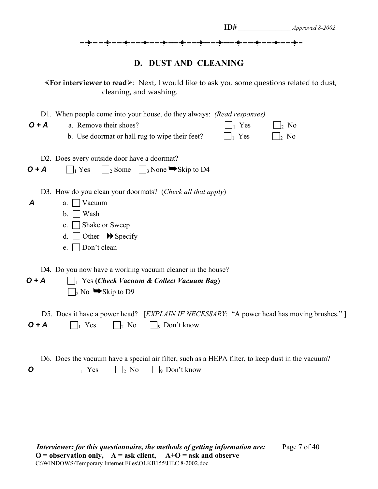| ID#                                                                    | Approved 8-2002 |
|------------------------------------------------------------------------|-----------------|
| <del>╶╸╊╺╸╸╉╸╸╸╉╴╸╺┇</del> ╌╾╌┇╌╴╌╶┇╌╌╌┇╌╌╌┇╌╴╌┇╌╴╌╶┇╌╌╌┇╌╌╌╂╌╌╶╉╌╌╶┩╌ |                 |
| D. DUST AND CLEANING                                                   |                 |

½**For interviewer to read**¾: Next, I would like to ask you some questions related to dust, cleaning, and washing.

| D1. When people come into your house, do they always: (Read responses)<br>$O + A$<br>a. Remove their shoes?<br>$\vert_1$ Yes<br>  <sub>2</sub> No<br>b. Use doormat or hall rug to wipe their feet?<br>Yes<br>$\vert_2$ No |
|----------------------------------------------------------------------------------------------------------------------------------------------------------------------------------------------------------------------------|
| D2. Does every outside door have a doormat?<br>$\Box$ <sub>2</sub> Some $\Box$ <sub>3</sub> None $\blacktriangleright$ Skip to D4<br>$O + A$<br>$\Box_1$ Yes                                                               |
| D3. How do you clean your doormats? (Check all that apply)<br>$\boldsymbol{A}$<br>Vacuum<br>a.<br>Wash<br>$\mathbf{b}$ .<br>Shake or Sweep<br>$c_{\cdot}$    <br>Other $\rightarrow$ Specify<br>d.<br>Don't clean<br>e.    |
| D4. Do you now have a working vacuum cleaner in the house?<br>$O + A$<br>$\Box$ Yes ( <i>Check Vacuum &amp; Collect Vacuum Bag</i> )<br>$\Box$ <sub>2</sub> No $\blacktriangleright$ Skip to D9                            |
| D5. Does it have a power head? [EXPLAIN IF NECESSARY: "A power head has moving brushes."]<br>$O + A$<br>$\bigcap_1$ Yes<br>$\overline{2}$ No<br>$\Box$ <sub>9</sub> Don't know                                             |
| D6. Does the vacuum have a special air filter, such as a HEPA filter, to keep dust in the vacuum?<br>$\Box$ <sub>9</sub> Don't know<br>$\frac{1}{2}$ No<br>O<br>Yes                                                        |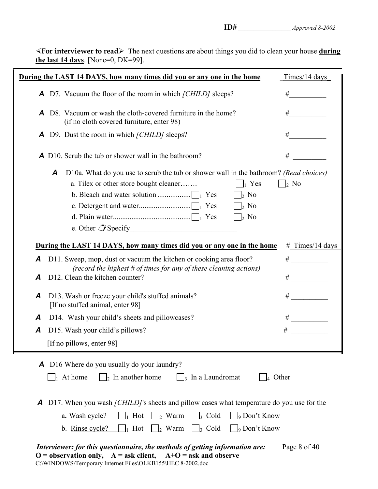½**For interviewer to read**¾ The next questions are about things you did to clean your house **during the last 14 days**. [None=0, DK=99].

|   |   | During the LAST 14 DAYS, how many times did you or any one in the home                                                                                                                                                                                                                                                                    | $Times/14$ days   |
|---|---|-------------------------------------------------------------------------------------------------------------------------------------------------------------------------------------------------------------------------------------------------------------------------------------------------------------------------------------------|-------------------|
|   |   | <b>A</b> D7. Vacuum the floor of the room in which [CHILD] sleeps?                                                                                                                                                                                                                                                                        | #                 |
| A |   | D8. Vacuum or wash the cloth-covered furniture in the home?<br>(if no cloth covered furniture, enter 98)                                                                                                                                                                                                                                  | #                 |
| A |   | D9. Dust the room in which [CHILD] sleeps?                                                                                                                                                                                                                                                                                                | #                 |
|   |   | <b>A</b> D10. Scrub the tub or shower wall in the bathroom?                                                                                                                                                                                                                                                                               | $\#$              |
|   | A | D10a. What do you use to scrub the tub or shower wall in the bathroom? (Read choices)<br>a. Tilex or other store bought cleaner<br>$\vert_1$ Yes<br>$\rightarrow$ No<br>$\vert_2$ No<br>$\vert_2$ No                                                                                                                                      | $\vert_2$ No      |
|   |   | During the LAST 14 DAYS, how many times did you or any one in the home                                                                                                                                                                                                                                                                    | $#$ Times/14 days |
| A |   | D11. Sweep, mop, dust or vacuum the kitchen or cooking area floor?                                                                                                                                                                                                                                                                        | #                 |
| Α |   | (record the highest $#$ of times for any of these cleaning actions)<br>D12. Clean the kitchen counter?                                                                                                                                                                                                                                    | #                 |
| A |   | D13. Wash or freeze your child's stuffed animals?<br>[If no stuffed animal, enter 98]                                                                                                                                                                                                                                                     | #                 |
| A |   | D14. Wash your child's sheets and pillowcases?                                                                                                                                                                                                                                                                                            |                   |
| A |   | D15. Wash your child's pillows?                                                                                                                                                                                                                                                                                                           | $\#$              |
|   |   | [If no pillows, enter 98]                                                                                                                                                                                                                                                                                                                 |                   |
|   |   | <b>A</b> D16 Where do you usually do your laundry?<br>$\vert$ <sub>2</sub> In another home<br>$\vert$ <sub>3</sub> In a Laundromat<br>$\vert_4$ Other<br>$\parallel$ At home                                                                                                                                                              |                   |
| A |   | D17. When you wash <i>[CHILD]</i> 's sheets and pillow cases what temperature do you use for the<br>$\parallel$ Hot<br><sub>9</sub> Don't Know<br>$\vert$ <sub>2</sub> Warm<br>$\vert$ $\vert_3$ Cold<br>a. Wash cycle?<br>Hot<br>$\vert$ <sub>2</sub> Warm<br>$\vert \vert_3$ Cold<br>$\vert$ <sub>9</sub> Don't Know<br>b. Rinse cycle? |                   |
|   |   | Interviewer: for this questionnaire, the methods of getting information are:<br>$O =$ observation only, $A =$ ask client, $A+O =$ ask and observe<br>C:\WINDOWS\Temporary Internet Files\OLKB155\HEC 8-2002.doc                                                                                                                           | Page 8 of 40      |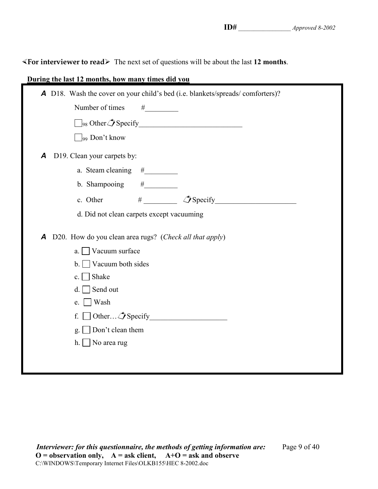½**For interviewer to read**¾ The next set of questions will be about the last **12 months**.

| During the last 12 months, how many times did you                                                                                                           |
|-------------------------------------------------------------------------------------------------------------------------------------------------------------|
| A D18. Wash the cover on your child's bed (i.e. blankets/spreads/comforters)?                                                                               |
| Number of times<br>$\# \underline{\hspace{2cm}}$                                                                                                            |
|                                                                                                                                                             |
| $\log$ Don't know                                                                                                                                           |
| D19. Clean your carpets by:<br>$\boldsymbol{A}$                                                                                                             |
|                                                                                                                                                             |
| b. Shampooing                                                                                                                                               |
| #<br>c. Other                                                                                                                                               |
| d. Did not clean carpets except vacuuming                                                                                                                   |
| D20. How do you clean area rugs? (Check all that apply)<br>Α<br>Vacuum surface<br>a <sub>1</sub><br>Vacuum both sides<br>$\mathbf{b}$ .<br>Shake<br>$c_{-}$ |
| Send out<br>d.                                                                                                                                              |
| Wash<br>e.                                                                                                                                                  |
| Other $\hat{\mathcal{J}}$ Specify<br>f.                                                                                                                     |
| Don't clean them<br>g.                                                                                                                                      |
| No area rug<br>h.                                                                                                                                           |
|                                                                                                                                                             |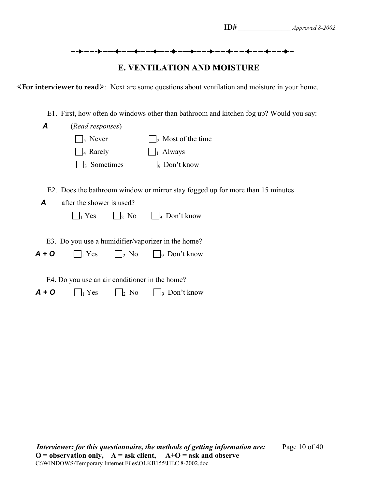### **E. VENTILATION AND MOISTURE**

**«For interviewer to read»**: Next are some questions about ventilation and moisture in your home.

E1. First, how often do windows other than bathroom and kitchen fog up? Would you say:

| A       | (Read responses)                               |                    |                                                                                |  |  |  |
|---------|------------------------------------------------|--------------------|--------------------------------------------------------------------------------|--|--|--|
|         | $\vert$ <sub>5</sub> Never                     |                    | $\vert_2$ Most of the time                                                     |  |  |  |
|         | $\vert_4$ Rarely                               |                    | Always<br>$\mathbf{1}$                                                         |  |  |  |
|         | $\vert_3$ Sometimes                            |                    | $\vert$ <sub>9</sub> Don't know                                                |  |  |  |
|         |                                                |                    |                                                                                |  |  |  |
|         |                                                |                    | E2. Does the bathroom window or mirror stay fogged up for more than 15 minutes |  |  |  |
| A       | after the shower is used?                      |                    |                                                                                |  |  |  |
|         | $\vert_1$ Yes                                  | $\vert$ 2 No       | $\vert$ $\vert$ Don't know                                                     |  |  |  |
|         |                                                |                    |                                                                                |  |  |  |
|         |                                                |                    | E3. Do you use a humidifier/vaporizer in the home?                             |  |  |  |
| $A + O$ | $\vert_1$ Yes                                  | $\vert \vert_2$ No | $\vert \ \vert_9$ Don't know                                                   |  |  |  |
|         |                                                |                    |                                                                                |  |  |  |
|         | E4. Do you use an air conditioner in the home? |                    |                                                                                |  |  |  |
| A + O   | $\vert_1$ Yes                                  | $\vert_2$ No       | Don't know<br>lo                                                               |  |  |  |
|         |                                                |                    |                                                                                |  |  |  |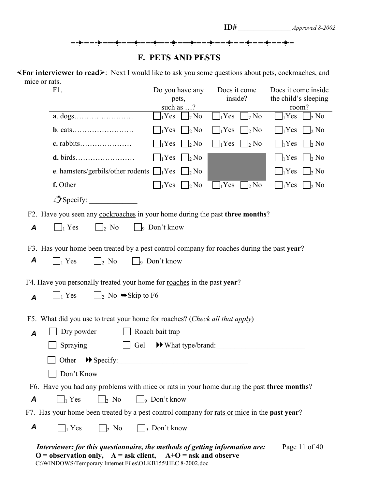#### **F. PETS AND PESTS**

½**For interviewer to read**¾: Next I would like to ask you some questions about pets, cockroaches, and mice or rats.

| F1.                                                                                                                                                                                                                              | Do you have any<br>pets,                   | Does it come<br>inside?                 | Does it come inside<br>the child's sleeping |  |  |  |  |
|----------------------------------------------------------------------------------------------------------------------------------------------------------------------------------------------------------------------------------|--------------------------------------------|-----------------------------------------|---------------------------------------------|--|--|--|--|
|                                                                                                                                                                                                                                  | such as $\ldots$ ?                         |                                         | room?                                       |  |  |  |  |
|                                                                                                                                                                                                                                  | $_1$ Yes<br>$\vert_2$ No                   | $\vert_2$ No<br>$_1$ Yes                | $_1$ Yes<br>$\frac{1}{2}$ No                |  |  |  |  |
|                                                                                                                                                                                                                                  | $\Box_2$ No<br>$_1$ Yes                    | $\bigcap_1$ Yes<br>$\vert \ \vert_2$ No | $\vert_1$ Yes<br>$\vert_2$ No               |  |  |  |  |
| c. rabbits                                                                                                                                                                                                                       | $\frac{1}{2}$ No<br>$_1$ Yes               | $\vert_1$ Yes<br>$\vert$ $\vert_2$ No   | $\vert_1$ Yes<br>$\vert_2$ No               |  |  |  |  |
|                                                                                                                                                                                                                                  | $\vert$   <sub>2</sub> No<br>$1$ Yes       |                                         | $\vert_1$ Yes<br>$\vert_2$ No               |  |  |  |  |
| e. hamsters/gerbils/other rodents $\Box_1$ Yes                                                                                                                                                                                   | $\vert$   <sub>2</sub> No                  |                                         | $\vert_2$ No<br>$\vert_1$ Yes               |  |  |  |  |
| f. Other                                                                                                                                                                                                                         | $\vert$   <sub>2</sub> No<br>$\vert_1$ Yes | $\vert_2$ No<br>$\vert_1$ Yes           | $ _1$ Yes<br>$\vert_2$ No                   |  |  |  |  |
| $\mathcal{I}$ Specify:                                                                                                                                                                                                           |                                            |                                         |                                             |  |  |  |  |
| F2. Have you seen any cockroaches in your home during the past three months?                                                                                                                                                     |                                            |                                         |                                             |  |  |  |  |
| $\vert_2$ No<br>$\vert \vert_1$ Yes<br>$\boldsymbol{A}$                                                                                                                                                                          | $\Box$ <sub>9</sub> Don't know             |                                         |                                             |  |  |  |  |
| F3. Has your home been treated by a pest control company for roaches during the past year?                                                                                                                                       |                                            |                                         |                                             |  |  |  |  |
| A<br>$\vert_1$ Yes<br>$\vert$   <sub>2</sub> No                                                                                                                                                                                  | $\Box$ <sub>9</sub> Don't know             |                                         |                                             |  |  |  |  |
| F4. Have you personally treated your home for roaches in the past year?                                                                                                                                                          |                                            |                                         |                                             |  |  |  |  |
| $\Box$ <sub>2</sub> No $\blacktriangleright$ Skip to F6<br>$\vert_1$ Yes<br>A                                                                                                                                                    |                                            |                                         |                                             |  |  |  |  |
| F5. What did you use to treat your home for roaches? (Check all that apply)                                                                                                                                                      |                                            |                                         |                                             |  |  |  |  |
| Dry powder<br>$\overline{A}$                                                                                                                                                                                                     | Roach bait trap                            |                                         |                                             |  |  |  |  |
| Spraying<br>Gel                                                                                                                                                                                                                  | $\blacktriangleright$ What type/brand:     |                                         |                                             |  |  |  |  |
| Other<br>$\blacktriangleright$ Specify:                                                                                                                                                                                          |                                            |                                         |                                             |  |  |  |  |
| Don't Know                                                                                                                                                                                                                       |                                            |                                         |                                             |  |  |  |  |
| F6. Have you had any problems with mice or rats in your home during the past three months?                                                                                                                                       |                                            |                                         |                                             |  |  |  |  |
| $\big _9$ Don't know<br>$\vert$ 2 No<br>A<br>$\vert \ \vert_1$ Yes                                                                                                                                                               |                                            |                                         |                                             |  |  |  |  |
| F7. Has your home been treated by a pest control company for <u>rats or mice</u> in the <b>past year</b> ?                                                                                                                       |                                            |                                         |                                             |  |  |  |  |
| A<br>$\Box_2$ No<br>$\Box$ Yes                                                                                                                                                                                                   | $\Box$ <sub>9</sub> Don't know             |                                         |                                             |  |  |  |  |
| Interviewer: for this questionnaire, the methods of getting information are:<br>Page 11 of 40<br>$O =$ observation only, $A =$ ask client, $A+O =$ ask and observe<br>C:\WINDOWS\Temporary Internet Files\OLKB155\HEC 8-2002.doc |                                            |                                         |                                             |  |  |  |  |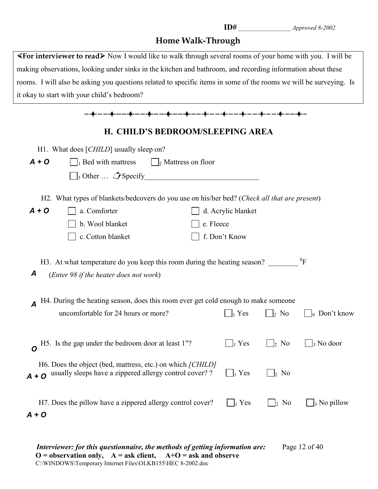## **Home Walk-Through**

| $\blacktriangle$ For interviewer to read $\blacktriangleright$ Now I would like to walk through several rooms of your home with you. I will be |
|------------------------------------------------------------------------------------------------------------------------------------------------|
| making observations, looking under sinks in the kitchen and bathroom, and recording information about these                                    |
| rooms. I will also be asking you questions related to specific items in some of the rooms we will be surveying. Is                             |
| it okay to start with your child's bedroom?                                                                                                    |

| ╾╺╟╸╾╺╍╟╸╾╺╾╠╸╾╼╍╠╍╼╍╼╠╍╼╌╍╫╍╼╍╍╫╍╼╺╍╢╸╾╼╍╟╍╼╍╍╟╍╼                                                                                                                                                                         |                                                                                                                               |           |                    |                                  |                       |  |  |
|----------------------------------------------------------------------------------------------------------------------------------------------------------------------------------------------------------------------------|-------------------------------------------------------------------------------------------------------------------------------|-----------|--------------------|----------------------------------|-----------------------|--|--|
|                                                                                                                                                                                                                            | H. CHILD'S BEDROOM/SLEEPING AREA                                                                                              |           |                    |                                  |                       |  |  |
|                                                                                                                                                                                                                            | H1. What does [CHILD] usually sleep on?                                                                                       |           |                    |                                  |                       |  |  |
| $A + O$                                                                                                                                                                                                                    | $\Box$ Bed with mattress<br>$\frac{1}{2}$ Mattress on floor                                                                   |           |                    |                                  |                       |  |  |
|                                                                                                                                                                                                                            | $\Box_3$ Other $\Box$ Specify                                                                                                 |           |                    |                                  |                       |  |  |
|                                                                                                                                                                                                                            | H2. What types of blankets/bedcovers do you use on his/her bed? (Check all that are present)                                  |           |                    |                                  |                       |  |  |
| $A + O$                                                                                                                                                                                                                    | a. Comforter                                                                                                                  |           | d. Acrylic blanket |                                  |                       |  |  |
|                                                                                                                                                                                                                            | b. Wool blanket                                                                                                               | e. Fleece |                    |                                  |                       |  |  |
|                                                                                                                                                                                                                            | c. Cotton blanket                                                                                                             |           | f. Don't Know      |                                  |                       |  |  |
| ${}^{0}F$<br>H3. At what temperature do you keep this room during the heating season?<br>A<br>(Enter 98 if the heater does not work)<br>H4. During the heating season, does this room ever get cold enough to make someone |                                                                                                                               |           |                    |                                  |                       |  |  |
|                                                                                                                                                                                                                            | uncomfortable for 24 hours or more?                                                                                           |           | $\vert_1$ Yes      | $\vert_2$ No                     | $\vert_9$ Don't know  |  |  |
| O                                                                                                                                                                                                                          | H5. Is the gap under the bedroom door at least 1"?                                                                            |           | $\vert_1$ Yes      | $\frac{1}{2}$ No                 | $\frac{1}{3}$ No door |  |  |
|                                                                                                                                                                                                                            | H6. Does the object (bed, mattress, etc.) on which [CHILD]<br>$A + O$ usually sleeps have a zippered allergy control cover? ? |           | $\Box_1$ Yes       | $\vert_2$ No                     |                       |  |  |
| $A + O$                                                                                                                                                                                                                    | H7. Does the pillow have a zippered allergy control cover?                                                                    |           | Yes                | N <sub>0</sub><br>$\mathsf{I}_2$ | $\vert_3$ No pillow   |  |  |

*Interviewer: for this questionnaire, the methods of getting information are:* Page 12 of 40 **O = observation only, A = ask client, A+O = ask and observe** C:\WINDOWS\Temporary Internet Files\OLKB155\HEC 8-2002.doc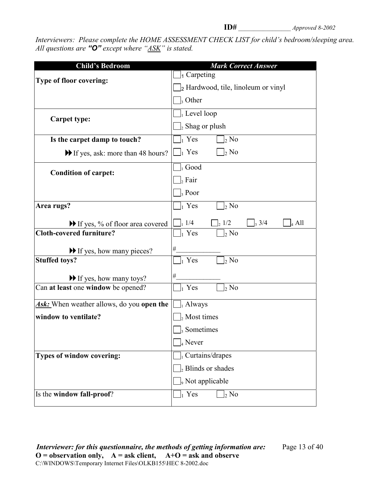*Interviewers: Please complete the HOME ASSESSMENT CHECK LIST for child's bedroom/sleeping area. All questions are "O" except where "ASK" is stated.*

| <b>Child's Bedroom</b>                                  | <b>Mark Correct Answer</b>                                      |
|---------------------------------------------------------|-----------------------------------------------------------------|
| Type of floor covering:                                 | $\vert_1$ Carpeting                                             |
|                                                         | $\vert_2$ Hardwood, tile, linoleum or vinyl                     |
|                                                         | $\vert$ , Other                                                 |
|                                                         | $\vert_1$ Level loop                                            |
| <b>Carpet type:</b>                                     | $\vert_2$ Shag or plush                                         |
| Is the carpet damp to touch?                            | $\vert_1$ Yes<br>$\vert_2$ No                                   |
| If yes, ask: more than 48 hours?                        | $\vert \vert_1$ Yes<br>$\vert_2$ No                             |
| <b>Condition of carpet:</b>                             | $\vert_1$ Good                                                  |
|                                                         | $\vert_{2}$ Fair                                                |
|                                                         | $\vert$ , Poor                                                  |
| Area rugs?                                              | $\Box_1$ Yes<br>$\vert_2$ No                                    |
| If yes, % of floor area covered                         | $\Box$ <sub>1</sub> 1/4<br>$\frac{1}{2}$ 1/2<br>3/4<br>$_4$ All |
| <b>Cloth-covered furniture?</b>                         | $\vert_1$ Yes<br>$\vert_2$ No                                   |
| If yes, how many pieces?                                | #                                                               |
| <b>Stuffed toys?</b>                                    | $\vert_1$ Yes<br>$\vert_2$ No                                   |
| $\blacktriangleright$ If yes, how many toys?            | $\#$                                                            |
| Can at least one window be opened?                      | $\vert_1$ Yes<br>$\frac{1}{2}$ No                               |
| <b>Ask:</b> When weather allows, do you <b>open the</b> | $\bigsqcup_i$ Always                                            |
| window to ventilate?                                    | $\vert_2$ Most times                                            |
|                                                         | <sub>3</sub> Sometimes                                          |
|                                                         | $_{4}$ Never                                                    |
| Types of window covering:                               | $]_1$ Curtains/drapes                                           |
|                                                         | $\vert_2$ Blinds or shades                                      |
|                                                         | <sub>9</sub> Not applicable                                     |
| Is the window fall-proof?                               | $\vert_1$ Yes<br>$\rm{_{2}}$ No                                 |
|                                                         |                                                                 |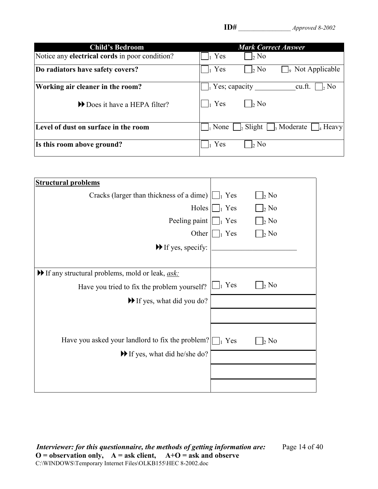| <b>Child's Bedroom</b>                                | <b>Mark Correct Answer</b>                                                |
|-------------------------------------------------------|---------------------------------------------------------------------------|
| Notice any <b>electrical cords</b> in poor condition? | Yes<br>$\vert_2$ No                                                       |
| Do radiators have safety covers?                      | Yes<br>Not Applicable<br>$\vert_2$ No<br>lo                               |
| Working air cleaner in the room?                      | $\vert_1$ Yes; capacity<br>$\frac{1}{2}$ No<br>cu.ft.                     |
| Does it have a HEPA filter?                           | Yes<br>$\vert_2$ No                                                       |
| Level of dust on surface in the room                  | $\frac{1}{2}$ Slight $\frac{1}{3}$ Moderate $\frac{1}{4}$ Heavy<br>  None |
| Is this room above ground?                            | Yes<br>$\vert_2$ No                                                       |

| <b>Structural problems</b>                                                  |               |                  |
|-----------------------------------------------------------------------------|---------------|------------------|
| Cracks (larger than thickness of a dime) $\lfloor \cdot \rfloor_1$          | Yes           | $\vert_2$ No     |
| Holes                                                                       | $\vert_1$ Yes | $\vert_2$ No     |
| Peeling paint                                                               | $\vert_1$ Yes | $\vert_2$ No     |
| Other $\parallel$                                                           | $\vert_1$ Yes | $\vert_2$ No     |
| $\blacktriangleright$ If yes, specify:                                      |               |                  |
|                                                                             |               |                  |
| $\blacktriangleright$ If any structural problems, mold or leak, <u>ask:</u> |               |                  |
| Have you tried to fix the problem yourself?                                 | $\Box_1$ Yes  | 2 N <sub>o</sub> |
| $\blacktriangleright$ If yes, what did you do?                              |               |                  |
|                                                                             |               |                  |
|                                                                             |               |                  |
| Have you asked your landlord to fix the problem? $\Box$ Yes                 |               | $\frac{1}{2}$ No |
| If yes, what did he/she do?                                                 |               |                  |
|                                                                             |               |                  |
|                                                                             |               |                  |

*Interviewer: for this questionnaire, the methods of getting information are:* Page 14 of 40 **O = observation only, A = ask client, A+O = ask and observe** C:\WINDOWS\Temporary Internet Files\OLKB155\HEC 8-2002.doc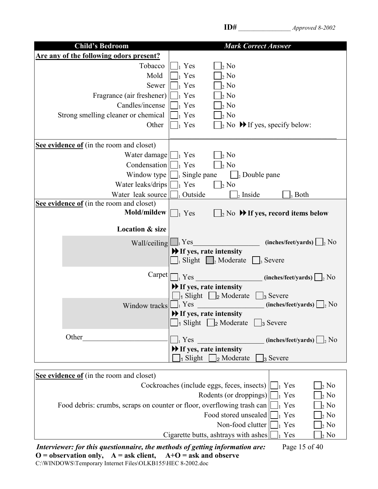| <b>Child's Bedroom</b>                        | <b>Mark Correct Answer</b>                                                     |
|-----------------------------------------------|--------------------------------------------------------------------------------|
| Are any of the following odors present?       |                                                                                |
| Tobacco                                       | $\frac{1}{2}$ No<br>Yes                                                        |
| Mold                                          | Yes<br>$_{2}$ No                                                               |
| Sewer                                         | 2 N <sub>0</sub><br>$\vert_1$ Yes                                              |
| Fragrance (air freshener)                     | $\frac{1}{2}$ No<br>Yes                                                        |
| Candles/incense                               | 2 N <sub>0</sub><br>$\vert_1$ Yes                                              |
| Strong smelling cleaner or chemical           | $\frac{1}{2}$ No<br>$\vert$ Yes                                                |
| Other                                         | Yes<br>$\vert_2$ No $\blacktriangleright$ If yes, specify below:               |
|                                               |                                                                                |
| See evidence of (in the room and closet)      |                                                                                |
| Water damage $\left  \bigcup_{i} \right $ Yes | $\frac{1}{2}$ No                                                               |
| Condensation $\prod_1$ Yes                    | $\vert_2$ No                                                                   |
| Window type                                   | $\vert$ Single pane<br>$\Box$ <sub>2</sub> Double pane                         |
| Water leaks/drips                             | $\vert_1$ Yes<br>$\frac{1}{2}$ No                                              |
| Water leak source                             | <sub>1</sub> Outside<br>$\vert_2$ Inside<br>3 Both                             |
| See evidence of (in the room and closet)      |                                                                                |
| <b>Mold/mildew</b> $\boxed{\Box_1$ Yes        | $\mathbb{I}_2$ No $\blacktriangleright$ If yes, record items below             |
|                                               |                                                                                |
| <b>Location &amp; size</b>                    |                                                                                |
| Wall/ceiling l                                | (inches/feet/yards) $\bigsqcup_2$ No<br>$\vert_1$ Yes                          |
|                                               | $\blacktriangleright$ If yes, rate intensity                                   |
|                                               | Slight $\Box$ <sub>2</sub> Moderate<br>$\vert$ <sub>3</sub> Severe             |
|                                               |                                                                                |
| Carpet                                        | $_{1}$ Yes<br>$(inches/fect/ yards) \bigsqcup_2 No$                            |
|                                               | If yes, rate intensity                                                         |
|                                               | $\vert_1$ Slight $\vert_2$ Moderate<br>$\vert$ <sub>3</sub> Severe             |
| Window tracks                                 | $_1$ Yes<br>(inches/feet/yards)<br>$\frac{1}{2}$ No                            |
|                                               | If yes, rate intensity                                                         |
|                                               | $\Box$ Slight $\Box$ 2 Moderate $\Box$ 3 Severe                                |
| Other                                         | $\vert_1$ Yes<br>$(inches/fect/ yards)$ $\Box$ <sub>2</sub> No                 |
|                                               | $\blacktriangleright$ If yes, rate intensity                                   |
|                                               | $\vert$ Slight $\vert$<br>$\vert_2$ Moderate<br>$\vert_3$ Severe               |
|                                               |                                                                                |
| See evidence of (in the room and closet)      |                                                                                |
|                                               | Cockroaches (include eggs, feces, insects) $\lfloor \cdot \rfloor$ Yes<br>2 No |
|                                               | $\mathbf{D}_{\alpha}$ danta (ar dranninga)                                     |

 $\text{Rodents (or droppings)} \quad \boxed{\bigcup_i \text{Yes}} \quad \boxed{\bigcup_i \text{No}}$ Food debris: crumbs, scraps on counter or floor, overflowing trash can  $\Box$  Yes  $\Box$  No  $\text{Food stored unscaled} \Box_1 \text{Yes } \Box_2 \text{No}$ Non-food clutter  $\Box$  Yes Cigarette butts, ashtrays with ashes  $\Box_1$  Yes  $\Box_2$  No  $\Box_2$  No

*Interviewer: for this questionnaire, the methods of getting information are:* Page 15 of 40  $O =$  observation only,  $A =$  ask client,  $A+O =$  ask and observe C:\WINDOWS\Temporary Internet Files\OLKB155\HEC 8-2002.doc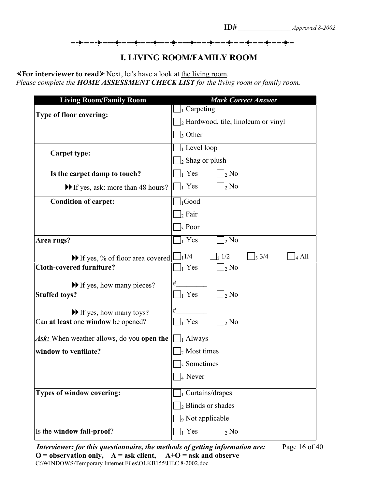<del>▁</del>▗▊▖▃▁▃▗▊▖▃▁▃▐▌▖▃▁▃▐▏▃▁▃▗▊▖▃▁▃▐▏▃▁▃▗▊▖▃▁▃▐▏▃▁▃▗▊▖▃▁▃▊▖▃▁▃▟▖▃▁▃▗▊▖▃▁▃▗▊▖▃

#### **I. LIVING ROOM/FAMILY ROOM**

**«For interviewer to read**» Next, let's have a look at the living room. *Please complete the HOME ASSESSMENT CHECK LIST for the living room or family room.*

| <b>Living Room/Family Room</b>                            | <b>Mark Correct Answer</b>                                     |  |  |  |
|-----------------------------------------------------------|----------------------------------------------------------------|--|--|--|
| Type of floor covering:                                   | $J_1$ Carpeting                                                |  |  |  |
|                                                           | $\vert_2$ Hardwood, tile, linoleum or vinyl                    |  |  |  |
|                                                           | $\vert$ <sub>3</sub> Other                                     |  |  |  |
|                                                           | $\vert_1$ Level loop                                           |  |  |  |
| <b>Carpet type:</b>                                       | $\vert_2$ Shag or plush                                        |  |  |  |
| Is the carpet damp to touch?                              | $\vert_1$ Yes<br>$\vert_2$ No                                  |  |  |  |
| If yes, ask: more than 48 hours?                          | $\bigsqcup_1$ Yes<br>$\vert_2$ No                              |  |  |  |
| <b>Condition of carpet:</b>                               | $\vert_1$ Good                                                 |  |  |  |
|                                                           | $\vert_2$ Fair                                                 |  |  |  |
|                                                           | $\vert_3$ Poor                                                 |  |  |  |
| Area rugs?                                                | $\vert_1$ Yes<br>$\vert_2$ No                                  |  |  |  |
| $\blacktriangleright$ If yes, % of floor area covered   L | $\frac{1}{1}$ 1/4<br>$\frac{1}{2}$ 1/2<br>3/4<br>$\vert_4$ All |  |  |  |
| <b>Cloth-covered furniture?</b>                           | $\left]_1$ Yes<br>$\vert_2$ No                                 |  |  |  |
| If yes, how many pieces?                                  | #                                                              |  |  |  |
| <b>Stuffed toys?</b>                                      | $\vert_1$ Yes<br>$\vert_2$ No                                  |  |  |  |
| If yes, how many toys?                                    | #                                                              |  |  |  |
| Can at least one window be opened?                        | $\vert_1$ Yes<br>$\vert_2$ No                                  |  |  |  |
| <b>Ask:</b> When weather allows, do you <b>open the</b>   | $\Box_1$ Always                                                |  |  |  |
| window to ventilate?                                      | $\vert_2$ Most times                                           |  |  |  |
|                                                           | $\vert_3$ Sometimes                                            |  |  |  |
|                                                           | $\vert_4$ Never                                                |  |  |  |
| Types of window covering:                                 | $\left]_1$ Curtains/drapes                                     |  |  |  |
|                                                           | $\vert_2$ Blinds or shades                                     |  |  |  |
|                                                           | <sub>9</sub> Not applicable                                    |  |  |  |
| Is the window fall-proof?                                 | $\vert_1$ Yes<br>$\vert_2$ No                                  |  |  |  |

*Interviewer: for this questionnaire, the methods of getting information are:* Page 16 of 40 **O = observation only, A = ask client, A+O = ask and observe** C:\WINDOWS\Temporary Internet Files\OLKB155\HEC 8-2002.doc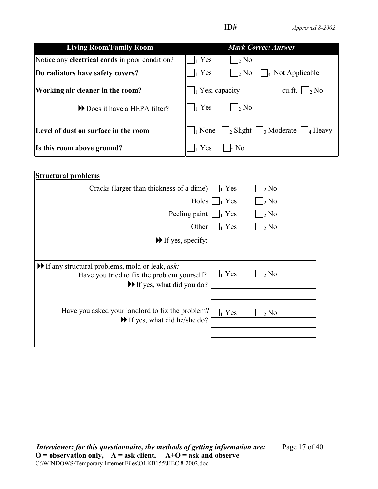| <b>Living Room/Family Room</b>                        | <b>Mark Correct Answer</b>                                                     |
|-------------------------------------------------------|--------------------------------------------------------------------------------|
| Notice any <b>electrical cords</b> in poor condition? | Yes<br>$\frac{1}{2}$ No                                                        |
| Do radiators have safety covers?                      | $\vert_1$ Yes<br>$\frac{1}{2}$ No<br>Not Applicable<br>١o                      |
| Working air cleaner in the room?                      | $\parallel$ <sub>1</sub> Yes; capacity<br>$\vert_2$ No<br>cu.ft.               |
| Does it have a HEPA filter?                           | $\vert_1$ Yes<br>$\mathsf{b}$ No                                               |
| Level of dust on surface in the room                  | $\vert_2$ Slight $\vert \vert_3$ Moderate<br>$\vert_1$ None<br>$\vert_4$ Heavy |
| Is this room above ground?                            | Yes<br>$\vert_2$ No                                                            |

| <b>Structural problems</b>                                                                                                 |                           |              |
|----------------------------------------------------------------------------------------------------------------------------|---------------------------|--------------|
| Cracks (larger than thickness of a dime) $\lfloor \cdot \rfloor_1$ Yes                                                     |                           | $\vert_2$ No |
|                                                                                                                            | Holes $   \cdot   _1$ Yes | $\vert_2$ No |
| Peeling paint $\bigsqcup_1$ Yes                                                                                            |                           | $\vert_2$ No |
|                                                                                                                            | Other $   \cdot   _1$ Yes | $\vert_2$ No |
| $\blacktriangleright$ If yes, specify:                                                                                     |                           |              |
|                                                                                                                            |                           |              |
| $\blacktriangleright$ If any structural problems, mold or leak, <u>ask:</u><br>Have you tried to fix the problem yourself? | Yes                       | $\vert_2$ No |
| $\blacktriangleright$ If yes, what did you do?                                                                             |                           |              |
|                                                                                                                            |                           |              |
| Have you asked your landlord to fix the problem?                                                                           | Yes<br>h.                 | $\vert_2$ No |
| $\blacktriangleright$ If yes, what did he/she do?                                                                          |                           |              |
|                                                                                                                            |                           |              |
|                                                                                                                            |                           |              |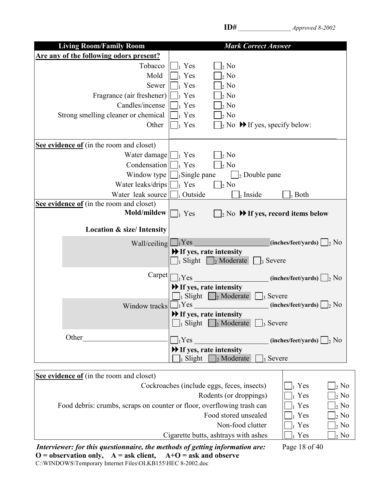| <b>Living Room/Family Room</b>             | <b>Mark Correct Answer</b>                                                                |
|--------------------------------------------|-------------------------------------------------------------------------------------------|
| Are any of the following odors present?    |                                                                                           |
| Tobacco                                    | $_1$ Yes<br>$\frac{1}{2}$ No                                                              |
| Mold                                       | 2 N <sub>0</sub><br>Yes                                                                   |
| Sewer                                      | 2 N <sub>0</sub><br>$_1$ Yes                                                              |
| Fragrance (air freshener)                  | $2$ No<br>Yes                                                                             |
| Candles/incense                            | Yes<br>2 N <sub>0</sub>                                                                   |
| Strong smelling cleaner or chemical        | $\frac{1}{2}$ No<br>Yes                                                                   |
| Other                                      | $\vert_2$ No $\bigtriangledown$ If yes, specify below:<br>$_1$ Yes                        |
|                                            |                                                                                           |
| See evidence of (in the room and closet)   |                                                                                           |
| Water damage $\lfloor \cdot \rfloor_1$ Yes | $\vert_2$ No                                                                              |
| Condensation                               | $\frac{1}{2}$ No<br>$\vert$ Yes                                                           |
| Window type                                | $\vert_1$ Single pane<br>$\vert_2$ Double pane                                            |
| Water leaks/drips                          | $\vert_2$ No<br>$\vert_1$ Yes                                                             |
| Water leak source                          | Outside<br>$_{2}$ Inside<br>$\frac{1}{3}$ Both                                            |
| See evidence of (in the room and closet)   |                                                                                           |
| Mold/mildew                                | $\vert$ <sub>2</sub> No $\rightarrow$ If yes, record items below<br>$\vert \ \vert_1$ Yes |
|                                            |                                                                                           |
| <b>Location &amp; size/Intensity</b>       |                                                                                           |
| Wall/ceiling L                             | $\vert_1$ Yes<br>(inches/feet/yards) $\Box$ <sub>2</sub> No                               |
|                                            | $\blacktriangleright$ If yes, rate intensity                                              |
|                                            | $\vert_1$ Slight $\vert_2$ Moderate<br>$\vert_3$ Severe                                   |
| Carpet                                     | $\vert_1$ Yes<br>$(inches/fect/ yards) \Box_2 No$                                         |
|                                            | $\blacktriangleright$ If yes, rate intensity                                              |
|                                            | $\vert_3$ Severe<br>  Slight $\vert$   $\vert$ Moderate                                   |
| Window tracks                              | $\vert_1$ Yes<br>(inches/feet/yards)<br>$\vert_2$ No                                      |
|                                            | $\blacktriangleright$ If yes, rate intensity                                              |
|                                            | $\bigcap_{1}$ Slight $\bigcap_{2}$ Moderate<br>$\frac{1}{3}$ Severe                       |
|                                            |                                                                                           |
| Other                                      | $\big]_1$ Yes<br>$(inches/fect/ yards)$   2 No                                            |
|                                            | If yes, rate intensity                                                                    |
|                                            | Slight<br><sup>2</sup> Severe<br>$2$ Moderate                                             |
| See evidence of (in the room and closet)   |                                                                                           |

| Cockroaches (include eggs, feces, insects)                             | $\vert_1$ Yes | $\vert_2$ No           |
|------------------------------------------------------------------------|---------------|------------------------|
| Rodents (or droppings)                                                 | $\vert_1$ Yes | $\bigcap_2$ No         |
| Food debris: crumbs, scraps on counter or floor, overflowing trash can | $\vert_1$ Yes | $\Box$ <sub>2</sub> No |
| Food stored unsealed                                                   | $\vert_1$ Yes | $\frac{1}{2}$ No       |
| Non-food clutter                                                       | $\vert_1$ Yes | $\Box_2$ No            |
| Cigarette butts, ashtrays with ashes                                   | Yes           | $\vert_2$ No           |
|                                                                        |               |                        |

*Interviewer: for this questionnaire, the methods of getting information are:* Page 18 of 40 **O = observation only, A = ask client, A+O = ask and observe** C:\WINDOWS\Temporary Internet Files\OLKB155\HEC 8-2002.doc

**ID#** \_\_\_\_\_\_\_\_\_\_\_\_\_\_\_\_\_ *Approved 8-2002*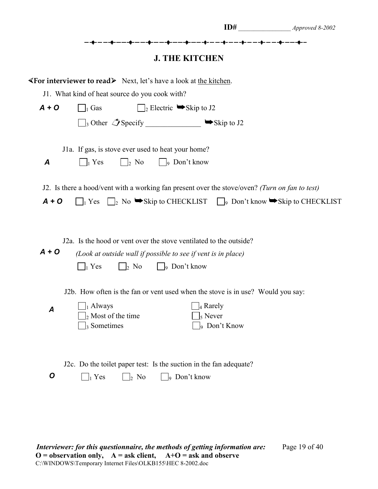|                    |                                                                                                                                                                                                                                                                                                                                                                                                        |                                                                                                                                               | $ID#$ $\qquad \qquad$ Approved 8-2002 |
|--------------------|--------------------------------------------------------------------------------------------------------------------------------------------------------------------------------------------------------------------------------------------------------------------------------------------------------------------------------------------------------------------------------------------------------|-----------------------------------------------------------------------------------------------------------------------------------------------|---------------------------------------|
|                    |                                                                                                                                                                                                                                                                                                                                                                                                        | ▖▄▖▖▊▖▃▖▃▖▟ <sub>▛</sub> ▖▃▖▃▖▟ <sub>▛</sub> ▖▃▗▃▖▟ <sub>▛</sub> ▖▃▗▃▖▟ <sub>▛</sub> ▖▃▗▃▗▊▖▃▗▃▗▊▖▃▗▃▖▟▖▃▗▃▖▟▖▃▗▗▊▖▃<br><b>J. THE KITCHEN</b> |                                       |
|                    | <b>Examplement X Solution A</b> Next, let's have a look at the kitchen.                                                                                                                                                                                                                                                                                                                                |                                                                                                                                               |                                       |
|                    | J1. What kind of heat source do you cook with?                                                                                                                                                                                                                                                                                                                                                         |                                                                                                                                               |                                       |
| $A + O$            | $\Box$ Gas                                                                                                                                                                                                                                                                                                                                                                                             | $\Box$ <sub>2</sub> Electric $\blacktriangleright$ Skip to J2                                                                                 |                                       |
|                    | $\Box$ <sub>3</sub> Other $\mathcal{L}$ Specify _______________ Skip to J2                                                                                                                                                                                                                                                                                                                             |                                                                                                                                               |                                       |
|                    | J1a. If gas, is stove ever used to heat your home?                                                                                                                                                                                                                                                                                                                                                     |                                                                                                                                               |                                       |
| $\boldsymbol{A}$   | $\lfloor \cdot \rfloor$ No $\lfloor \cdot \rfloor$ Don't know<br>$\vert \ \vert_1$ Yes                                                                                                                                                                                                                                                                                                                 |                                                                                                                                               |                                       |
| $A + O$<br>$A + O$ | J2. Is there a hood/vent with a working fan present over the stove/oven? (Turn on fan to test)<br>$\Box_1$ Yes $\Box_2$ No $\blacktriangleright$ Skip to CHECKLIST $\Box_9$ Don't know $\blacktriangleright$ Skip to CHECKLIST<br>J2a. Is the hood or vent over the stove ventilated to the outside?<br>(Look at outside wall if possible to see if vent is in place)<br>$\vert$ 2 No<br>$\vert_1$ Yes | $\Box$ 9 Don't know                                                                                                                           |                                       |
| Α                  | J2b. How often is the fan or vent used when the stove is in use? Would you say:<br>$_1$ Always<br>$\frac{1}{2}$ Most of the time<br><sub>3</sub> Sometimes                                                                                                                                                                                                                                             | 4 Rarely<br>$5$ Never<br>$\frac{1}{9}$ Don't Know                                                                                             |                                       |
| $\boldsymbol{O}$   | J2c. Do the toilet paper test: Is the suction in the fan adequate?<br>$\Box_1$ Yes<br>$\vert_2$ No                                                                                                                                                                                                                                                                                                     | 9 Don't know                                                                                                                                  |                                       |

*Interviewer: for this questionnaire, the methods of getting information are:* Page 19 of 40 **O = observation only, A = ask client, A+O = ask and observe** C:\WINDOWS\Temporary Internet Files\OLKB155\HEC 8-2002.doc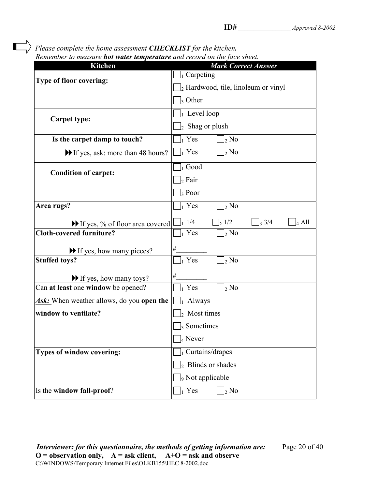*Please complete the home assessment CHECKLIST for the kitchen.*

| Remember to measure <b>hot water temperature</b> and record on the face sheet. |                                                                |
|--------------------------------------------------------------------------------|----------------------------------------------------------------|
| <b>Kitchen</b>                                                                 | <b>Mark Correct Answer</b>                                     |
| <b>Type of floor covering:</b>                                                 | $\vert$ <sub>1</sub> Carpeting                                 |
|                                                                                | 2 Hardwood, tile, linoleum or vinyl                            |
|                                                                                | $\vert$ <sub>3</sub> Other                                     |
| <b>Carpet type:</b>                                                            | $\vert_1$ Level loop                                           |
|                                                                                | $\vert_2$ Shag or plush                                        |
| Is the carpet damp to touch?                                                   | $\vert_1$ Yes<br>$\vert_2$ No                                  |
| If yes, ask: more than 48 hours?                                               | $\prod_1$ Yes<br>$\vert_2$ No                                  |
| <b>Condition of carpet:</b>                                                    | $\vert_1$ Good                                                 |
|                                                                                | $\vert_2$ Fair                                                 |
|                                                                                | $\vert_3$ Poor                                                 |
| Area rugs?                                                                     | $\vert_1$ Yes<br>$\vert_2$ No                                  |
| $\blacktriangleright$ If yes, % of floor area covered $\blacktriangleright$    | $\frac{1}{1}$ 1/4<br>$\frac{1}{2}$ 1/2<br>3/4<br>$\vert_4$ All |
| <b>Cloth-covered furniture?</b>                                                | $\vert_1$ Yes<br>$\vert_2$ No                                  |
| If yes, how many pieces?                                                       | $\#$                                                           |
| <b>Stuffed toys?</b>                                                           | $\vert_1$ Yes<br>$\vert_2$ No                                  |
| If yes, how many toys?                                                         | #                                                              |
| Can at least one window be opened?                                             | $\vert_1$ Yes<br>$\vert_2$ No                                  |
| <b>Ask:</b> When weather allows, do you <b>open the</b>                        | $\vert_1$ Always                                               |
| window to ventilate?                                                           | Most times                                                     |
|                                                                                | $\vert$ Sometimes                                              |
|                                                                                | $\vert_4$ Never                                                |
| <b>Types of window covering:</b>                                               | $\vert_1$ Curtains/drapes                                      |
|                                                                                | Blinds or shades<br>I۰.                                        |
|                                                                                | <sub>9</sub> Not applicable                                    |
| Is the window fall-proof?                                                      | $\vert_1$ Yes<br>$\vert_2$ No                                  |

*Interviewer: for this questionnaire, the methods of getting information are:* Page 20 of 40  $O =$  observation only,  $A =$  ask client,  $A+O =$  ask and observe C:\WINDOWS\Temporary Internet Files\OLKB155\HEC 8-2002.doc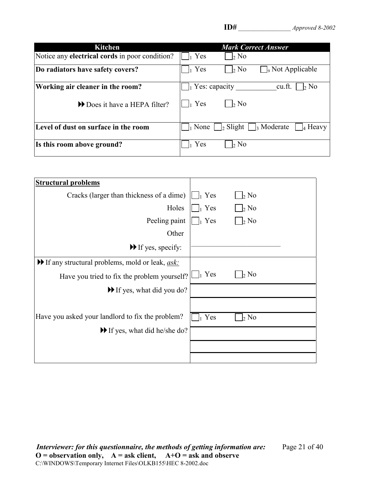| <b>Kitchen</b>                                        | <b>Mark Correct Answer</b>                                |
|-------------------------------------------------------|-----------------------------------------------------------|
| Notice any <b>electrical cords</b> in poor condition? | Yes<br>$\vert_2$ No                                       |
| Do radiators have safety covers?                      | Yes<br>$\Box$ <sub>9</sub> Not Applicable<br>$\vert_2$ No |
| Working air cleaner in the room?                      | Yes: capacity<br>$\vert_2$ No<br>cu.ft.                   |
| Does it have a HEPA filter?                           | Yes<br>$\mathbf{b}$ No                                    |
| Level of dust on surface in the room                  | None $\int_2$ Slight $\int_3$ Moderate<br>$\vert_4$ Heavy |
| Is this room above ground?                            | Yes<br>$\vert_2$ No                                       |

| <b>Structural problems</b>                                                   |                                           |
|------------------------------------------------------------------------------|-------------------------------------------|
| Cracks (larger than thickness of a dime)                                     | $\vert_1$ Yes<br>$\vert_2$ No             |
| Holes                                                                        | Yes<br>$\vert_2$ No                       |
| Peeling paint                                                                | $\vert_2$ No<br>$\parallel$ Yes           |
| Other                                                                        |                                           |
| $\blacktriangleright$ If yes, specify:                                       |                                           |
| $\blacktriangleright$ If any structural problems, mold or leak, <i>ask</i> : |                                           |
| Have you tried to fix the problem yourself?                                  | $\vert \ \vert_1$ Yes<br>$\frac{1}{2}$ No |
| $\blacktriangleright$ If yes, what did you do?                               |                                           |
|                                                                              |                                           |
| Have you asked your landlord to fix the problem?                             | Yes<br>$\frac{1}{2}$ No                   |
| $\blacktriangleright$ If yes, what did he/she do?                            |                                           |
|                                                                              |                                           |
|                                                                              |                                           |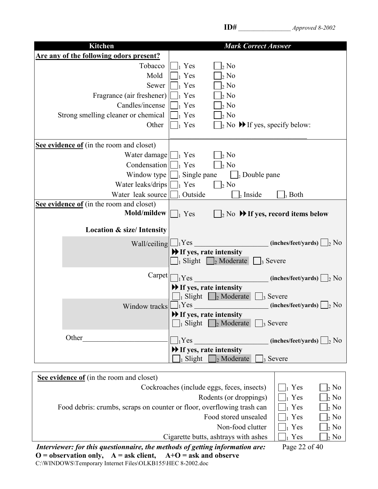| <b>Kitchen</b>                           | <b>Mark Correct Answer</b>                                                                        |
|------------------------------------------|---------------------------------------------------------------------------------------------------|
| Are any of the following odors present?  |                                                                                                   |
| Tobacco                                  | $_1$ Yes<br>$\frac{1}{2}$ No                                                                      |
| Mold                                     | $_1$ Yes<br>$\vert_2$ No                                                                          |
| Sewer                                    | $\frac{1}{2}$ No<br>$\vert_1$ Yes                                                                 |
| Fragrance (air freshener)                | 2 N <sub>0</sub><br>$_1$ Yes                                                                      |
| Candles/incense                          | $\frac{1}{2}$ No<br>$_1$ Yes                                                                      |
| Strong smelling cleaner or chemical      | $\frac{1}{2}$ No<br>$_1$ Yes                                                                      |
| Other                                    | $\vert_2$ No $\blacktriangleright$ If yes, specify below:<br>$_1$ Yes                             |
|                                          |                                                                                                   |
| See evidence of (in the room and closet) |                                                                                                   |
| Water damage $\boxed{\phantom{a}}_1$ Yes | $\frac{1}{2}$ No                                                                                  |
| Condensation                             | $\frac{1}{2}$ No<br>$\vert_1$ Yes                                                                 |
| Window type                              | $\Box$ Single pane<br>$\bigsqcup_{2}$ Double pane                                                 |
| Water leaks/drips                        | $\mathcal{L}_{2}$ No<br>$\vert_1$ Yes                                                             |
| Water leak source                        | $\vert$ Outside<br>$\vert_2$ Inside<br>$_3$ Both                                                  |
| See evidence of (in the room and closet) |                                                                                                   |
| Mold/mildew                              | $\Box$ <sub>2</sub> No $\blacktriangleright$ If yes, record items below<br>$\vert_1$ Yes          |
|                                          |                                                                                                   |
| <b>Location &amp; size/Intensity</b>     |                                                                                                   |
| Wall/ceiling $\Box_1$ Yes                | $(inches/fect/ yards) \bigsqcup_2 No$                                                             |
|                                          | If yes, rate intensity                                                                            |
|                                          | $\big]_1$ Slight $\bigcup_2$ Moderate<br>$\vert_3$ Severe                                         |
| Carpet                                   |                                                                                                   |
|                                          | $\bigcap_{1}$ Yes<br>$(inches/fect/ yards) \Box_2 No$                                             |
|                                          | $\blacktriangleright$ If yes, rate intensity                                                      |
|                                          | $\vert_3$ Severe<br>$\vert_1$ Slight $\vert_2$ Moderate<br>$\vert_1$ Yes                          |
| Window tracks                            | (inches/feet/yards)<br>2 N <sub>0</sub>                                                           |
|                                          | $\blacktriangleright$ If yes, rate intensity<br>$\Box$ Slight $\Box$ Moderate<br>$\vert_3$ Severe |
|                                          |                                                                                                   |
| Other                                    | $\vert_1$ Yes<br>$(inches/fect/ yards)$ 2 No                                                      |
|                                          | If yes, rate intensity                                                                            |
|                                          | $_1$ Slight<br>$\frac{1}{2}$ Moderate<br>$\vert_3$ Severe                                         |
|                                          |                                                                                                   |

| See evidence of (in the room and closet)                                       |                         |                  |
|--------------------------------------------------------------------------------|-------------------------|------------------|
| Cockroaches (include eggs, feces, insects)                                     | $\vert_1$ Yes           | $\flat$ No       |
| Rodents (or droppings)                                                         | $\vert$ Yes             | $\frac{1}{2}$ No |
| Food debris: crumbs, scraps on counter or floor, overflowing trash can         | $\vert_1$ Yes           | $\frac{1}{2}$ No |
| Food stored unsealed                                                           | $\mathbf{I}$ Yes        | $\frac{1}{2}$ No |
| Non-food clutter                                                               | $_1$ Yes                | $\frac{1}{2}$ No |
| Cigarette butts, ashtrays with ashes                                           | Yes                     | $\flat$ No       |
| International for this an estimation of a mothodo of option information of our | $D_{0.22}$ 22 $\leq$ 40 |                  |

*Interviewer: for this questionnaire, the methods of getting information are:* Page 22 of 40 **O = observation only, A = ask client, A+O = ask and observe** C:\WINDOWS\Temporary Internet Files\OLKB155\HEC 8-2002.doc

**ID#** \_\_\_\_\_\_\_\_\_\_\_\_\_\_\_\_\_ *Approved 8-2002*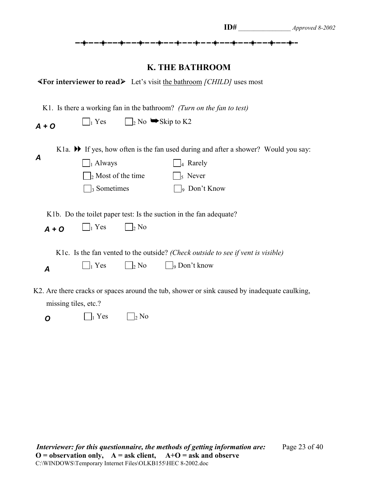|  |  |  | Approved 8-2002 |
|--|--|--|-----------------|
|  |  |  |                 |

### **K. THE BATHROOM**

| $\blacktriangleleft$ For interviewer to read $\blacktriangleright$ Let's visit the bathroom <i>[CHILD]</i> uses most |  |  |  |
|----------------------------------------------------------------------------------------------------------------------|--|--|--|
|----------------------------------------------------------------------------------------------------------------------|--|--|--|

| K1. Is there a working fan in the bathroom? (Turn on the fan to test) |                                      |                                                         |                                                                                                                            |
|-----------------------------------------------------------------------|--------------------------------------|---------------------------------------------------------|----------------------------------------------------------------------------------------------------------------------------|
| $A + O$                                                               | $\vert_1$ Yes                        | $\Box$ <sub>2</sub> No $\blacktriangleright$ Skip to K2 |                                                                                                                            |
| A                                                                     | $\vert$ Always                       |                                                         | K1a. $\blacktriangleright$ If yes, how often is the fan used during and after a shower? Would you say:<br>$\vert_4$ Rarely |
|                                                                       | $\Box$ <sub>2</sub> Most of the time |                                                         | $\vert_5$ Never                                                                                                            |
|                                                                       | $\vert_3$ Sometimes                  |                                                         | $\vert_9$ Don't Know                                                                                                       |
| $A + O$                                                               | $\bigcap_1$ Yes                      | $\vert_2$ No                                            | K1b. Do the toilet paper test: Is the suction in the fan adequate?                                                         |
|                                                                       |                                      |                                                         | K1c. Is the fan vented to the outside? (Check outside to see if vent is visible)                                           |
| $\boldsymbol{A}$                                                      | $\vert_1$ Yes                        | $\vert_2$ No                                            | $\vert$   9 Don't know                                                                                                     |
|                                                                       | missing tiles, etc.?                 |                                                         | K2. Are there cracks or spaces around the tub, shower or sink caused by inadequate caulking,                               |
| Ο                                                                     | Yes                                  | $\mathcal{L}$ No                                        |                                                                                                                            |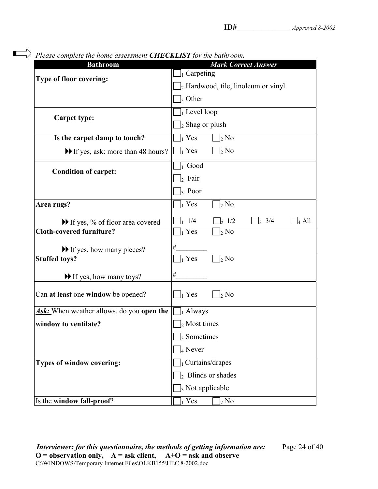| Please complete the nome assessment <b>CHECKLISI</b> for the bathroom.<br><b>Bathroom</b> | <b>Mark Correct Answer</b>                      |  |  |  |
|-------------------------------------------------------------------------------------------|-------------------------------------------------|--|--|--|
|                                                                                           | $\vert_1$ Carpeting                             |  |  |  |
| <b>Type of floor covering:</b>                                                            | $\vert_2$ Hardwood, tile, linoleum or vinyl     |  |  |  |
|                                                                                           | $\vert$ <sub>3</sub> Other                      |  |  |  |
|                                                                                           | $\vert_1$ Level loop                            |  |  |  |
| <b>Carpet type:</b>                                                                       | $\vert_2$ Shag or plush                         |  |  |  |
| Is the carpet damp to touch?                                                              | $\vert_1$ Yes<br>$\frac{1}{2}$ No               |  |  |  |
| If yes, ask: more than 48 hours?                                                          | $\prod_1$ Yes<br>$\vert_2$ No                   |  |  |  |
| <b>Condition of carpet:</b>                                                               | $\vert_1$ Good                                  |  |  |  |
|                                                                                           | $\vert_2$ Fair                                  |  |  |  |
|                                                                                           | $\vert_3$ Poor                                  |  |  |  |
| Area rugs?                                                                                | $\vert_1$ Yes<br>2 N <sub>0</sub>               |  |  |  |
| If yes, % of floor area covered                                                           | 1/4<br>$\frac{1}{2}$ 1/2<br>3/4<br>4 All<br>l3. |  |  |  |
| Cloth-covered furniture?                                                                  | $\vert_1$ Yes<br>$\vert_2$ No                   |  |  |  |
| If yes, how many pieces?                                                                  | $\#$                                            |  |  |  |
| <b>Stuffed toys?</b>                                                                      | $\vert_1$ Yes<br>$\vert_2$ No                   |  |  |  |
| $\blacktriangleright$ If yes, how many toys?                                              | $\#$                                            |  |  |  |
| Can at least one window be opened?                                                        | $\vert_1$ Yes<br>$\vert_2$ No                   |  |  |  |
| <b>Ask:</b> When weather allows, do you open the                                          | $\vert_1$ Always                                |  |  |  |
| window to ventilate?                                                                      | $\frac{1}{2}$ Most times                        |  |  |  |
|                                                                                           | $\frac{1}{3}$ Sometimes                         |  |  |  |
|                                                                                           | $_4$ Never                                      |  |  |  |
| Types of window covering:                                                                 | $]_1$ Curtains/drapes                           |  |  |  |
|                                                                                           | $\vert_2$ Blinds or shades                      |  |  |  |
|                                                                                           | $\vert$ <sub>3</sub> Not applicable             |  |  |  |
| Is the window fall-proof?                                                                 | $_1$ Yes<br>$_{2}$ No                           |  |  |  |

*Please complete the home assessment CHECKLIST for the bathroom.*

 $\blacksquare$ 

*Interviewer: for this questionnaire, the methods of getting information are:* Page 24 of 40  $O =$  observation only,  $A =$  ask client,  $A+O =$  ask and observe C:\WINDOWS\Temporary Internet Files\OLKB155\HEC 8-2002.doc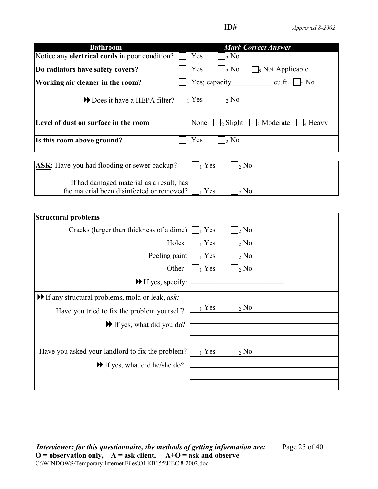| <b>Bathroom</b>                                                                       | <b>Mark Correct Answer</b>                                                              |
|---------------------------------------------------------------------------------------|-----------------------------------------------------------------------------------------|
| Notice any electrical cords in poor condition?                                        | $\vert_1$ Yes<br>$\vert_2$ No                                                           |
| Do radiators have safety covers?                                                      | $\vert_1$ Yes<br>$\Box$ <sub>9</sub> Not Applicable<br>$\vert_2$ No                     |
| Working air cleaner in the room?                                                      | $\vert_1$ Yes; capacity<br>cu.ft.<br>$\vert_2$ No                                       |
| Does it have a HEPA filter?                                                           | $\vert_1$ Yes<br>$\vert_2$ No                                                           |
| Level of dust on surface in the room                                                  | $\vert_1$ None<br>$\vert_2$ Slight $\vert$<br>$\frac{1}{3}$ Moderate<br>$\vert_4$ Heavy |
| Is this room above ground?                                                            | $\vert_1$ Yes<br>$\vert_2$ No                                                           |
| <b>ASK:</b> Have you had flooding or sewer backup?                                    | $\vert_1$ Yes<br>$\vert_2$ No                                                           |
| If had damaged material as a result, has<br>the material been disinfected or removed? | $\vert_1$ Yes<br>$\vert_2$ No                                                           |
|                                                                                       |                                                                                         |
| <b>Structural problems</b>                                                            |                                                                                         |
| Cracks (larger than thickness of a dime)                                              | $\vert_1$ Yes<br>$\mid_2$ No                                                            |
| Holes                                                                                 | $\vert_1$ Yes<br>$\vert_2$ No                                                           |
| Peeling paint                                                                         | $\vert \ \vert_1$ Yes<br>$\vert_2$ No                                                   |
| Other                                                                                 | $\vert_1$ Yes<br>$\vert$ 2 No                                                           |
| $\blacktriangleright$ If yes, specify:                                                |                                                                                         |
| $\blacktriangleright$ If any structural problems, mold or leak, <u>ask:</u>           |                                                                                         |
| Have you tried to fix the problem yourself?                                           | $_1$ Yes<br>$\mathcal{L}$ No                                                            |
| If yes, what did you do?                                                              |                                                                                         |
|                                                                                       |                                                                                         |
| Have you asked your landlord to fix the problem?                                      | $\vert_1$ Yes<br>$\vert_2$ No                                                           |
| If yes, what did he/she do?                                                           |                                                                                         |
|                                                                                       |                                                                                         |
|                                                                                       |                                                                                         |

*Interviewer: for this questionnaire, the methods of getting information are:* Page 25 of 40 **O = observation only, A = ask client, A+O = ask and observe** C:\WINDOWS\Temporary Internet Files\OLKB155\HEC 8-2002.doc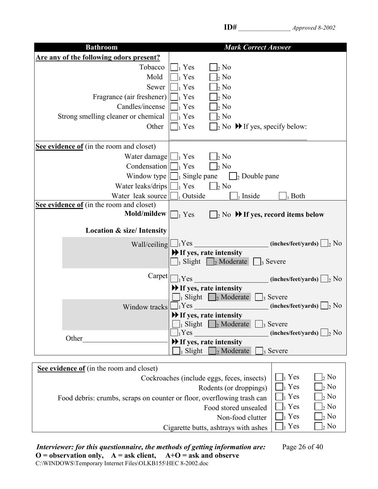|--|

| <b>Bathroom</b>                                                                                                           | <b>Mark Correct Answer</b>                                                                                                                                                                                                                                                                                                                                                  |
|---------------------------------------------------------------------------------------------------------------------------|-----------------------------------------------------------------------------------------------------------------------------------------------------------------------------------------------------------------------------------------------------------------------------------------------------------------------------------------------------------------------------|
| Are any of the following odors present?                                                                                   |                                                                                                                                                                                                                                                                                                                                                                             |
| Tobacco<br>Mold<br>Sewer<br>Fragrance (air freshener)<br>Candles/incense<br>Strong smelling cleaner or chemical<br>Other  | $\vert_1$ Yes<br>$\vert_2$ No<br>Yes<br>$\frac{1}{2}$ No<br>$\vert_2$ No<br>Yes<br>$\vert_2$ No<br>$_1$ Yes<br>$\frac{1}{2}$ No<br>Yes<br>$\vert_2$ No<br>Yes<br>$_1$ Yes<br>$\vert_2$ No $\blacktriangleright$ If yes, specify below:                                                                                                                                      |
| See evidence of (in the room and closet)                                                                                  |                                                                                                                                                                                                                                                                                                                                                                             |
| Water damage $\left  \bigcup_{i} \text{Yes} \right $                                                                      | $\vert_2$ No                                                                                                                                                                                                                                                                                                                                                                |
| Condensation                                                                                                              | $_1$ Yes<br>$\vert_2$ No                                                                                                                                                                                                                                                                                                                                                    |
| Window type                                                                                                               | $\vert_1$ Single pane<br>$\vert_2$ Double pane                                                                                                                                                                                                                                                                                                                              |
| Water leaks/drips                                                                                                         | $\vert_1$ Yes<br>$\Box$ <sub>2</sub> No                                                                                                                                                                                                                                                                                                                                     |
| Water leak source<br>See evidence of (in the room and closet)                                                             | Outside<br>$2$ Inside<br>3 Both                                                                                                                                                                                                                                                                                                                                             |
| Mold/mildew                                                                                                               | $\vert$ $\vert_2$ No $\triangleright$ If yes, record items below<br>$\vert_1$ Yes                                                                                                                                                                                                                                                                                           |
| <b>Location &amp; size/Intensity</b>                                                                                      |                                                                                                                                                                                                                                                                                                                                                                             |
| Wall/ceiling                                                                                                              | $\Box_1$ Yes<br>$(inches/fect/ yards) \bigsqcup_2 No$<br>$\blacktriangleright$ If yes, rate intensity<br>$\vert$ Slight $\vert$ $\vert$ Moderate<br>$\vert_3$ Severe                                                                                                                                                                                                        |
| Carpet                                                                                                                    | $\vert_1$ Yes<br>(inches/feet/yards)<br>$\vert_2$ No<br>If yes, rate intensity<br>$\bigcap_{1}$ Slight $\bigcap_{2}$ Moderate<br>$\vert_3$ Severe                                                                                                                                                                                                                           |
| Window tracks                                                                                                             | $_1$ Yes<br>(inches/feet/yards)<br>$\frac{1}{2}$ No<br>If yes, rate intensity<br>$\vert$ Slight $\vert$ $\vert$ Moderate<br>$\vert_3$ Severe<br>$_1$ Yes<br>$(inches/fect/ yards) \bigsqcup_2 No$                                                                                                                                                                           |
| Other                                                                                                                     | If yes, rate intensity                                                                                                                                                                                                                                                                                                                                                      |
|                                                                                                                           | $\vert$ <sub>2</sub> Moderate<br>Slight<br>3 Severe                                                                                                                                                                                                                                                                                                                         |
|                                                                                                                           |                                                                                                                                                                                                                                                                                                                                                                             |
| <b>See evidence of</b> (in the room and closet)<br>Food debris: crumbs, scraps on counter or floor, overflowing trash can | $\vert_1$ Yes<br>$\vert_2$ No<br>Cockroaches (include eggs, feces, insects)<br>$\vert_1$ Yes<br>$\rm _2$ No<br>Rodents (or droppings)<br>$\frac{1}{2}$ No<br>$\vert_1$ Yes<br>$\vert_1$ Yes<br>$\rm{_{2}}$ No<br>Food stored unsealed<br>$\vert_1$ Yes<br>2 N <sub>0</sub><br>Non-food clutter<br>$\vert_1$ Yes<br>$\frac{1}{2}$ No<br>Cigarette butts, ashtrays with ashes |

*Interviewer: for this questionnaire, the methods of getting information are:* Page 26 of 40 **O = observation only, A = ask client, A+O = ask and observe** C:\WINDOWS\Temporary Internet Files\OLKB155\HEC 8-2002.doc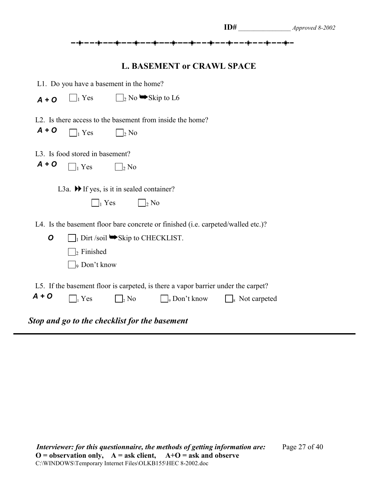|         |                                                               |                                                                         |                                                                                   | ID#                              | Approved 8-2002 |
|---------|---------------------------------------------------------------|-------------------------------------------------------------------------|-----------------------------------------------------------------------------------|----------------------------------|-----------------|
|         |                                                               |                                                                         | ╸╼╺┇╸╾╼╺┇╸╾╼╺┇╸╾╺╍╺┇╸╾╶╌┇                                                         |                                  |                 |
|         |                                                               |                                                                         | <b>L. BASEMENT or CRAWL SPACE</b>                                                 |                                  |                 |
|         | L1. Do you have a basement in the home?                       |                                                                         |                                                                                   |                                  |                 |
| $A + O$ | $\neg$ <sub>1</sub> Yes                                       |                                                                         | $\Box$ <sub>2</sub> No $\blacktriangleright$ Skip to L6                           |                                  |                 |
|         |                                                               |                                                                         | L2. Is there access to the basement from inside the home?                         |                                  |                 |
| $A + O$ | $\bigcap_1$ Yes                                               | $\mathcal{L}_{2}$ No                                                    |                                                                                   |                                  |                 |
|         | L3. Is food stored in basement?                               |                                                                         |                                                                                   |                                  |                 |
| $A + O$ | $\prod_1$ Yes                                                 | $\Box_2$ No                                                             |                                                                                   |                                  |                 |
|         | L3a. $\blacktriangleright$ If yes, is it in sealed container? |                                                                         |                                                                                   |                                  |                 |
|         |                                                               | $\Box_1$ Yes                                                            | $\Box_2$ No                                                                       |                                  |                 |
|         |                                                               |                                                                         | L4. Is the basement floor bare concrete or finished (i.e. carpeted/walled etc.)?  |                                  |                 |
| O       |                                                               | $\Box$ <sub>1</sub> Dirt /soil $\blacktriangleright$ Skip to CHECKLIST. |                                                                                   |                                  |                 |
|         | $\vert_2$ Finished                                            |                                                                         |                                                                                   |                                  |                 |
|         | <sup>9</sup> Don't know                                       |                                                                         |                                                                                   |                                  |                 |
|         |                                                               |                                                                         | L5. If the basement floor is carpeted, is there a vapor barrier under the carpet? |                                  |                 |
| $A + O$ | $\bigcap_i$ Yes                                               | $\vert_{2}$ No                                                          | $\bigcap_{9}$ Don't know                                                          | $\Box$ <sub>8</sub> Not carpeted |                 |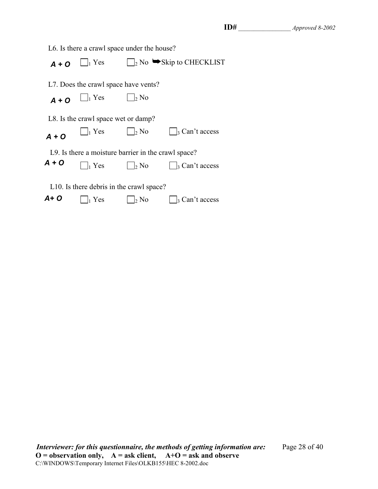| L6. Is there a crawl space under the house? |                                                     |                                                  |                        |  |  |  |
|---------------------------------------------|-----------------------------------------------------|--------------------------------------------------|------------------------|--|--|--|
| $A + O$                                     | $\Box_1$ Yes                                        | $\rightarrow$ No $\rightarrow$ Skip to CHECKLIST |                        |  |  |  |
|                                             | L7. Does the crawl space have vents?                |                                                  |                        |  |  |  |
| $A + O$                                     | $\Box_1$ Yes                                        | $\frac{1}{2}$ No                                 |                        |  |  |  |
|                                             | L8. Is the crawl space wet or damp?                 |                                                  |                        |  |  |  |
| $A + O$                                     | $\vert_1$ Yes                                       | $\vert_2$ No                                     | $\vert_3$ Can't access |  |  |  |
|                                             | L9. Is there a moisture barrier in the crawl space? |                                                  |                        |  |  |  |
| $A + O$                                     | $\vert_1$ Yes                                       | $\frac{1}{2}$ No                                 | $\vert_3$ Can't access |  |  |  |
|                                             | L10. Is there debris in the crawl space?            |                                                  |                        |  |  |  |
| A+ O                                        | Yes                                                 | $\frac{1}{2}$ No                                 | $\vert_3$ Can't access |  |  |  |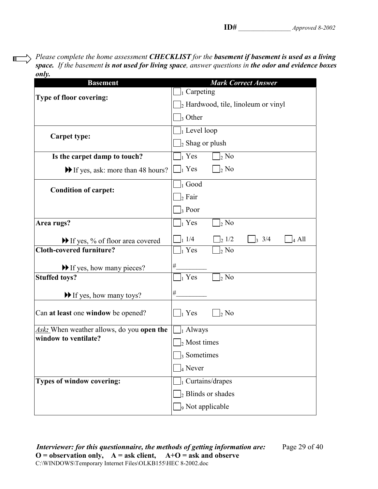*Please complete the home assessment CHECKLIST for the basement if basement is used as a living space. If the basement is not used for living space, answer questions in the odor and evidence boxes only.*

 $\blacksquare$ 

| <b>Basement</b>                              | <b>Mark Correct Answer</b>                            |  |  |  |
|----------------------------------------------|-------------------------------------------------------|--|--|--|
| Type of floor covering:                      | $\vert$ Carpeting                                     |  |  |  |
|                                              | $\vert_2$ Hardwood, tile, linoleum or vinyl           |  |  |  |
|                                              | $\vert$ <sub>3</sub> Other                            |  |  |  |
| <b>Carpet type:</b>                          | $\vert_1$ Level loop                                  |  |  |  |
|                                              | $\vert_2$ Shag or plush                               |  |  |  |
| Is the carpet damp to touch?                 | $\vert_1$ Yes<br>$\vert_2$ No                         |  |  |  |
| If yes, ask: more than 48 hours?             | $\vert \ \vert_1$ Yes<br>$\vert_2$ No                 |  |  |  |
| <b>Condition of carpet:</b>                  | $\vert_1$ Good                                        |  |  |  |
|                                              | $\vert_2$ Fair                                        |  |  |  |
|                                              | $\vert_3$ Poor                                        |  |  |  |
| Area rugs?                                   | $\vert_1$ Yes<br>$\frac{1}{2}$ No                     |  |  |  |
| If yes, % of floor area covered              | $\frac{1}{1}$ 1/4<br>21/2<br>3/4<br>$\frac{1}{4}$ All |  |  |  |
| <b>Cloth-covered furniture?</b>              | $\vert_1$ Yes<br>$2 N$ o                              |  |  |  |
| If yes, how many pieces?                     | $\#$                                                  |  |  |  |
| <b>Stuffed toys?</b>                         | $\vert_1$ Yes<br>$\vert_2$ No                         |  |  |  |
| $\blacktriangleright$ If yes, how many toys? | $\#$                                                  |  |  |  |
| Can at least one window be opened?           | $\vert_1$ Yes<br>$\vert_2$ No                         |  |  |  |
| Ask: When weather allows, do you open the    | $\bigsqcup_1$ Always                                  |  |  |  |
| window to ventilate?                         | $\vert_2$ Most times                                  |  |  |  |
|                                              | $\Box$ <sub>3</sub> Sometimes                         |  |  |  |
|                                              | 4 Never                                               |  |  |  |
| Types of window covering:                    | $\vert_1$ Curtains/drapes                             |  |  |  |
|                                              | $2$ Blinds or shades                                  |  |  |  |
|                                              | <sub>9</sub> Not applicable                           |  |  |  |

*Interviewer: for this questionnaire, the methods of getting information are:* Page 29 of 40  $O =$  observation only,  $A =$  ask client,  $A+O =$  ask and observe C:\WINDOWS\Temporary Internet Files\OLKB155\HEC 8-2002.doc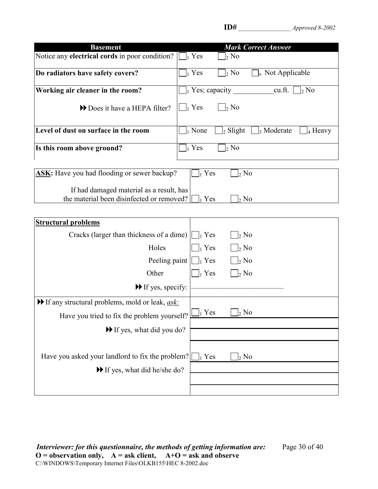| ٠ |
|---|
|---|

| <b>Basement</b>                                                                       | <b>Mark Correct Answer</b>                                                      |
|---------------------------------------------------------------------------------------|---------------------------------------------------------------------------------|
| Notice any <b>electrical cords</b> in poor condition?                                 | $\vert_1$ Yes<br>$\vert_2$ No                                                   |
| Do radiators have safety covers?                                                      | $\int_1$ Yes<br>$\vert_2$ No<br><sub>9</sub> Not Applicable                     |
| Working air cleaner in the room?                                                      | $\Box$ Yes; capacity<br>cu.ft. $\vert$<br>$\frac{1}{2}$ No                      |
| Does it have a HEPA filter?                                                           | $\vert_1$ Yes<br>$\vert_2$ No                                                   |
| Level of dust on surface in the room                                                  | $\vert_1$ None<br>$\vert_2$ Slight<br>$\frac{1}{3}$ Moderate<br>$\vert_4$ Heavy |
| Is this room above ground?                                                            | $\Box_1$ Yes<br>$\rm _2$ No                                                     |
| ASK: Have you had flooding or sewer backup?                                           | $\vert_1$ Yes<br>$\frac{1}{2}$ No                                               |
| If had damaged material as a result, has<br>the material been disinfected or removed? | Yes<br>$\vert_2$ No                                                             |
| <b>Structural problems</b>                                                            |                                                                                 |
| Cracks (larger than thickness of a dime)                                              | $\vert_2$ No<br>$\vert \ \vert_1$ Yes                                           |
| Holes                                                                                 | $\vert_1$ Yes<br>$2 N$ o                                                        |
| Peeling paint                                                                         | $\vert_1$ Yes<br>$\vert_2$ No                                                   |
| Other                                                                                 | $\bigcap_2$ No<br>$\vert_1$ Yes                                                 |
| $\blacktriangleright$ If yes, specify:                                                |                                                                                 |
| If any structural problems, mold or leak, <i>ask:</i>                                 |                                                                                 |
| Have you tried to fix the problem yourself?                                           | $\vert_1$ Yes<br>$\vert_2$ No                                                   |
| If yes, what did you do?                                                              |                                                                                 |
|                                                                                       |                                                                                 |
| Have you asked your landlord to fix the problem?                                      | $\vert_1$ Yes<br>$2$ No                                                         |
| If yes, what did he/she do?                                                           |                                                                                 |
|                                                                                       |                                                                                 |
|                                                                                       |                                                                                 |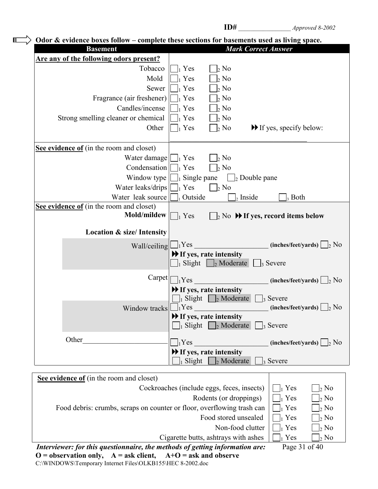|                                                                              | Odor $\&$ evidence boxes follow – complete these sections for basements used as living space. |
|------------------------------------------------------------------------------|-----------------------------------------------------------------------------------------------|
| <b>Basement</b>                                                              | <b>Mark Correct Answer</b>                                                                    |
| Are any of the following odors present?                                      |                                                                                               |
| Tobacco                                                                      | Yes<br>$\vert_2$ No                                                                           |
| Mold                                                                         | $\frac{1}{2}$ No<br>Yes                                                                       |
| Sewer                                                                        | $\vert_2$ No<br>Yes                                                                           |
| Fragrance (air freshener)                                                    | $\vert_2$ No<br>$_1$ Yes                                                                      |
| Candles/incense                                                              | $\vert_2$ No<br>Yes                                                                           |
| Strong smelling cleaner or chemical                                          | $\vert_2$ No<br>Yes                                                                           |
| Other                                                                        | Yes<br>$\vert_2$ No<br>$\blacktriangleright$ If yes, specify below:                           |
| See evidence of (in the room and closet)                                     |                                                                                               |
| Water damage $\bigsqcup_1$ Yes                                               | $\vert_2$ No                                                                                  |
| Condensation                                                                 | $\vert_2$ No<br>$\vert_1$ Yes                                                                 |
| Window type                                                                  | $\vert$ Single pane $\vert \vert$ Double pane                                                 |
| Water leaks/drips                                                            | $\bigcap_1$ Yes<br>$\vert_2$ No                                                               |
| Water leak source                                                            | Outside<br>$\vert_2$ Inside<br>, Both                                                         |
| See evidence of (in the room and closet)                                     |                                                                                               |
| Mold/mildew                                                                  | $\Box_2$ No $\bigtriangledown$ If yes, record items below<br>$\vert$ Yes                      |
| <b>Location &amp; size/Intensity</b>                                         |                                                                                               |
| Wall/ceiling                                                                 | $(inches/fect/ yards)$   2 No<br>$\Box_1$ Yes                                                 |
|                                                                              | $\blacktriangleright$ If yes, rate intensity                                                  |
|                                                                              | Slight   $\vert_2$ Moderate<br>$\vert_3$ Severe                                               |
| Carpet                                                                       | 1Yes<br>$(inches/fect/ yards) \bigsqcup_2 No$                                                 |
|                                                                              | $\blacktriangleright$ If yes, rate intensity                                                  |
|                                                                              | $\frac{1}{1}$ Slight $\frac{1}{2}$ Moderate<br>$\vert$ <sub>3</sub> Severe                    |
| Window tracks                                                                | $Y$ es<br>$(inches/fect/ yards) \bigsqcup_2 No$                                               |
|                                                                              | $\blacktriangleright$ If yes, rate intensity                                                  |
|                                                                              | $\Box$ <sub>2</sub> Moderate<br>Slight  <br>$\vert_3$ Severe                                  |
| Other                                                                        | $_1$ Yes<br>$(inches/fect/ yards)$ $\boxed{\phantom{a}2 \text{ No}}$                          |
|                                                                              | $\blacktriangleright$ If yes, rate intensity                                                  |
|                                                                              | Slight<br>$\frac{1}{2}$ Moderate<br>$\frac{1}{3}$ Severe                                      |
|                                                                              |                                                                                               |
| See evidence of (in the room and closet)                                     |                                                                                               |
|                                                                              | Cockroaches (include eggs, feces, insects)<br>Yes<br>$\vert_2$ No                             |
|                                                                              | Rodents (or droppings)<br>$_1$ Yes<br>$\vert_2$ No                                            |
| Food debris: crumbs, scraps on counter or floor, overflowing trash can       | $_1$ Yes<br><sub>2</sub> No                                                                   |
|                                                                              | Food stored unsealed<br>Yes<br>$\vert_2$ No                                                   |
|                                                                              | Non-food clutter<br>$_1$ Yes<br>$\vert_2$ No                                                  |
|                                                                              | Cigarette butts, ashtrays with ashes<br>$_1$ Yes<br>$\frac{1}{2}$ No                          |
| Interviewer: for this questionnaire, the methods of getting information are: | Page 31 of 40                                                                                 |

**O = observation only, A = ask client, A+O = ask and observe** C:\WINDOWS\Temporary Internet Files\OLKB155\HEC 8-2002.doc

 $\blacksquare$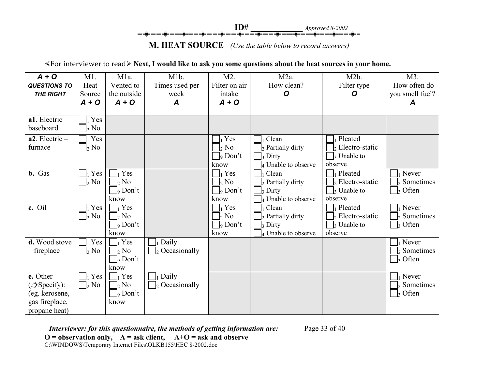**ID# \_\_\_\_\_\_\_\_\_\_\_\_** *Approved 8-2002*

**M. HEAT SOURCE** *(Use the table below to record answers)*

½For interviewer to read¾ **Next, I would like to ask you some questions about the heat sources in your home.**

| $A + O$                  | $M1$ .       | M <sub>1</sub> a.          | M <sub>1</sub> b.  | $M2$ .                     | M <sub>2</sub> a.   | M2b.                           | M3.                        |
|--------------------------|--------------|----------------------------|--------------------|----------------------------|---------------------|--------------------------------|----------------------------|
| <b>QUESTIONS TO</b>      | Heat         | Vented to                  | Times used per     | Filter on air              | How clean?          | Filter type                    | How often do               |
| <b>THE RIGHT</b>         | Source       | the outside                | week               | intake                     | O                   | O                              | you smell fuel?            |
|                          | $A + O$      | $A + O$                    | A                  | $A + O$                    |                     |                                | A                          |
|                          |              |                            |                    |                            |                     |                                |                            |
| $a1$ . Electric -        | Yes          |                            |                    |                            |                     |                                |                            |
| baseboard                | $\vert_2$ No |                            |                    |                            |                     |                                |                            |
| $a2$ . Electric -        | $_1$ Yes     |                            |                    | Yes                        | Clean               | Pleated                        |                            |
| furnace                  | $\vert_2$ No |                            |                    | $\vert_2$ No               | 2 Partially dirty   | Electro-static                 |                            |
|                          |              |                            |                    | $\vert$ <sub>9</sub> Don't | 3 Dirty             | Unable to                      |                            |
|                          |              |                            |                    | know                       | 4 Unable to observe | observe                        |                            |
| <b>b.</b> Gas            | $_1$ Yes     | Yes                        |                    | $Y$ es                     | Clean               | Pleated                        | Never                      |
|                          | $\vert_2$ No | $\flat$ No                 |                    | $\vert_2$ No               | 2 Partially dirty   | Electro-static                 | Sometimes                  |
|                          |              | $\vert$ <sub>9</sub> Don't |                    | $\vert$ <sub>9</sub> Don't | 3 Dirty             | $\vert$ <sub>3</sub> Unable to | $\Box_3$ Often             |
|                          |              | know                       |                    | know                       | Unable to observe   | observe                        |                            |
| c. Oil                   | $_1$ Yes     | Yes                        |                    | Yes                        | Clean               | Pleated                        | Never                      |
|                          | $\vert_2$ No | $\vert_2$ No               |                    | $\vert_2$ No               | 2 Partially dirty   | $\frac{1}{2}$ Electro-static   | $\vert_2$ Sometimes        |
|                          |              | $\vert$ <sub>9</sub> Don't |                    | $\vert$ <sub>9</sub> Don't | 3 Dirty             | 3 Unable to                    | Often                      |
|                          |              | know                       |                    | know                       | 4 Unable to observe | observe                        |                            |
| d. Wood stove            | $_1$ Yes     | Yes                        | Daily              |                            |                     |                                | Never                      |
| fireplace                | $\vert_2$ No | $\vert_2$ No               | Occasionally<br>I٥ |                            |                     |                                | Sometimes                  |
|                          |              | $\vert$ <sub>9</sub> Don't |                    |                            |                     |                                | Often<br>2                 |
|                          |              | know                       |                    |                            |                     |                                |                            |
| e. Other                 | $_1$ Yes     | Yes                        | Daily              |                            |                     |                                | Never                      |
| $(\mathcal{Z}Specify)$ : | $\vert_2$ No | $\vert_2$ No               | Occasionally       |                            |                     |                                | Sometimes                  |
| (eg. kerosene,           |              | $\vert$ <sub>9</sub> Don't |                    |                            |                     |                                | $\vert$ <sub>3</sub> Often |
| gas fireplace,           |              | know                       |                    |                            |                     |                                |                            |
| propane heat)            |              |                            |                    |                            |                     |                                |                            |

*Interviewer: for this questionnaire, the methods of getting information are:* Page 33 of 40 **O = observation only, A = ask client, A+O = ask and observe** C:\WINDOWS\Temporary Internet Files\OLKB155\HEC 8-2002.doc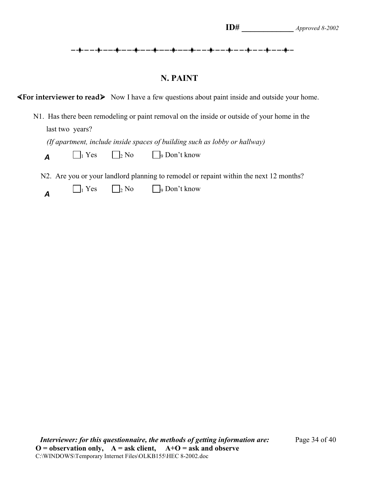#### **N. PAINT**

**«For interviewer to read**» Now I have a few questions about paint inside and outside your home.

 N1. Has there been remodeling or paint removal on the inside or outside of your home in the last two years?

 *(If apartment, include inside spaces of building such as lobby or hallway)*

|  | $\bigcap_1$ Yes | $\Box_2$ No | $\Box$ <sub>9</sub> Don't know |
|--|-----------------|-------------|--------------------------------|
|--|-----------------|-------------|--------------------------------|

N2. Are you or your landlord planning to remodel or repaint within the next 12 months?

|  | $\prod_1$ Yes | $\Box$ <sub>2</sub> No | $\Box$ <sub>9</sub> Don't know |
|--|---------------|------------------------|--------------------------------|
|--|---------------|------------------------|--------------------------------|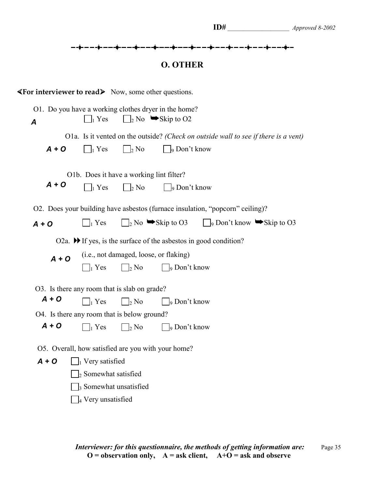|                                                                                                        |                                                                                         |                                                        |                                                    | ╼╶╫╸╾╺╌╫╸╾╼╌╫╸╾╺╌╫╸╾╺╌╫╸╾╼╌╫╸╾╼╌╫╸╾╺╌╫╸╾╼╌╫╴╾╺╌╫╴╾ <del>╺</del>                                                                                                                                          |
|--------------------------------------------------------------------------------------------------------|-----------------------------------------------------------------------------------------|--------------------------------------------------------|----------------------------------------------------|----------------------------------------------------------------------------------------------------------------------------------------------------------------------------------------------------------|
|                                                                                                        |                                                                                         |                                                        | <b>O. OTHER</b>                                    |                                                                                                                                                                                                          |
| $\blacktriangleleft$ For interviewer to read $\blacktriangleright$ Now, some other questions.          |                                                                                         |                                                        |                                                    |                                                                                                                                                                                                          |
| O1. Do you have a working clothes dryer in the home?<br>A                                              | $\vert_1$ Yes                                                                           |                                                        | $\vert_2$ No $\blacktriangleright$ Skip to O2      |                                                                                                                                                                                                          |
| $A + O$                                                                                                | $\vert \vert_1$ Yes                                                                     | $\vert \ \vert_2$ No                                   | $\Box$ <sub>9</sub> Don't know                     | O1a. Is it vented on the outside? (Check on outside wall to see if there is a vent)                                                                                                                      |
| $A + O$                                                                                                | O1b. Does it have a working lint filter?<br>$\vert \ \vert_1$ Yes                       | $\Box_2$ No                                            | $\vert$ $\vert_9$ Don't know                       |                                                                                                                                                                                                          |
| $A + O$                                                                                                | $\vert \ \vert_1$ Yes                                                                   |                                                        |                                                    | O2. Does your building have asbestos (furnace insulation, "popcorn" ceiling)?<br>$\Box$ <sub>2</sub> No $\blacktriangleright$ Skip to O3 $\Box$ <sub>9</sub> Don't know $\blacktriangleright$ Skip to O3 |
| $A + O$                                                                                                | $\vert_1$ Yes                                                                           | (i.e., not damaged, loose, or flaking)<br>$\vert_2$ No | $\vert$ $\vert$ <sub>9</sub> Don't know            | O2a. $\blacktriangleright$ If yes, is the surface of the asbestos in good condition?                                                                                                                     |
| O3. Is there any room that is slab on grade?<br>$A + O$<br>O4. Is there any room that is below ground? | $\vert_1$ Yes                                                                           | $\vert_2$ No                                           | $\Box$ <sub>9</sub> Don't know                     |                                                                                                                                                                                                          |
| $A + O$                                                                                                | $\vert_1$ Yes                                                                           | $\frac{1}{2}$ No                                       | ∫9 Don't know                                      |                                                                                                                                                                                                          |
| $A + O$                                                                                                | $\Box$ <sub>1</sub> Very satisfied                                                      |                                                        | O5. Overall, how satisfied are you with your home? |                                                                                                                                                                                                          |
|                                                                                                        | $\vert_2$ Somewhat satisfied<br><sub>3</sub> Somewhat unsatisfied<br>4 Very unsatisfied |                                                        |                                                    |                                                                                                                                                                                                          |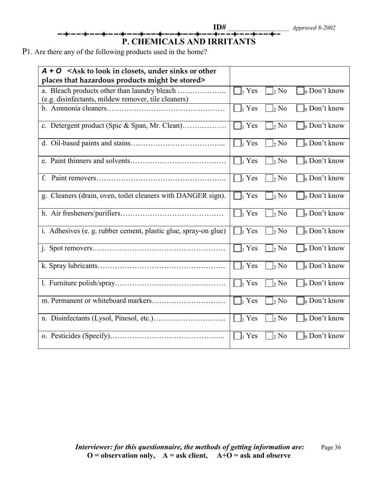# **ID#** \_\_\_\_\_\_\_\_\_\_\_\_\_\_\_\_\_\_\_\_ *Approved 8-2002* **P. CHEMICALS AND IRRITANTS**

P1. Are there any of the following products used in the home?

| $A + O$ < Ask to look in closets, under sinks or other<br>places that hazardous products might be stored> |                   |                         |                                 |
|-----------------------------------------------------------------------------------------------------------|-------------------|-------------------------|---------------------------------|
| (e.g. disinfectants, mildew remover, tile cleaners)                                                       | $\prod_1$ Yes     | $\Box_2$ No             | $\sqrt{ }$ Don't know           |
|                                                                                                           | $\prod_1$ Yes     | $\vert$ <sub>2</sub> No | $\vert$ <sub>9</sub> Don't know |
|                                                                                                           | $\Box_1$ Yes      | $\vert_2$ No            | <sub>9</sub> Don't know         |
|                                                                                                           | $\Box_1$ Yes      | $\bigcap_{2} \text{No}$ | $\int_0$ Don't know             |
|                                                                                                           | $\Box_1$ Yes      | $\bigcap_{2} \text{No}$ | $\frac{1}{9}$ Don't know        |
| f.                                                                                                        | $\Box_1$ Yes      | $\Box_2$ No             | $\vert$ <sub>9</sub> Don't know |
| g. Cleaners (drain, oven, toilet cleaners with DANGER sign).                                              | $\Box_1$ Yes      | $\vert$ <sub>2</sub> No | $\int_0$ Don't know             |
|                                                                                                           | $\Box_1$ Yes      | $\frac{1}{2}$ No        | $\frac{1}{9}$ Don't know        |
| i. Adhesives (e. g. rubber cement, plastic glue, spray-on glue)                                           | $\ $ $\ $ Yes     | $\neg$ <sub>2</sub> No  | <sub>9</sub> Don't know         |
|                                                                                                           | $\Box_1$ Yes      | $\vert_2$ No            | $\frac{1}{9}$ Don't know        |
|                                                                                                           | $\Box$ Yes        | $\vert_2$ No            | $\vert$ <sub>9</sub> Don't know |
|                                                                                                           | $\parallel$   Yes | $\frac{1}{2}$ No        | <sub>9</sub> Don't know         |
|                                                                                                           | $\Box_1$ Yes      | $\vert_2$ No            | <sub>9</sub> Don't know         |
|                                                                                                           | $\parallel$   Yes | $\frac{1}{2}$ No        | $\frac{1}{9}$ Don't know        |
|                                                                                                           | $\Box_1$ Yes      | $\frac{1}{2}$ No        | <sub>9</sub> Don't know         |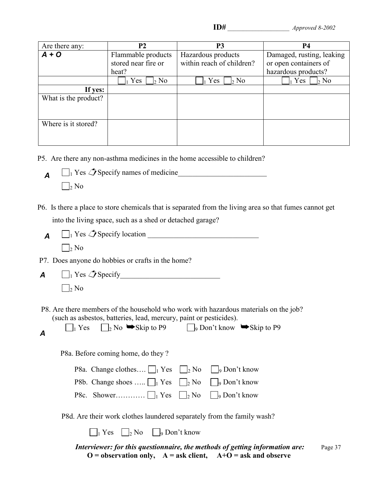| <b>P2</b>           | P <sub>3</sub>            | <b>P4</b>                 |
|---------------------|---------------------------|---------------------------|
| Flammable products  | Hazardous products        | Damaged, rusting, leaking |
| stored near fire or | within reach of children? | or open containers of     |
| heat?               |                           | hazardous products?       |
| Yes<br>$\vert_2$ No | Yes<br>N <sub>0</sub>     | Yes<br>$\vert_2$ No       |
|                     |                           |                           |
|                     |                           |                           |
|                     |                           |                           |
|                     |                           |                           |
|                     |                           |                           |
|                     |                           |                           |
|                     |                           |                           |
|                     |                           |                           |

P5. Are there any non-asthma medicines in the home accessible to children?

 1 Yes Specify names of medicine\_\_\_\_\_\_\_\_\_\_\_\_\_\_\_\_\_\_\_\_\_\_\_\_  $\Box_2$  No *A*

 P6. Is there a place to store chemicals that is separated from the living area so that fumes cannot get into the living space, such as a shed or detached garage?

 $\Box_1$  Yes  $\mathcal{L}$  Specify location  $\Box$  $\Box_2$  No *A*

P7. Does anyone do hobbies or crafts in the home?

- 1 Yes Specify\_\_\_\_\_\_\_\_\_\_\_\_\_\_\_\_\_\_\_\_\_\_\_\_\_\_\_  $\Box_2$  No *A*
- P8. Are there members of the household who work with hazardous materials on the job? (such as asbestos, batteries, lead, mercury, paint or pesticides).

| $\prod_1$ Yes | $\Box$ <sub>2</sub> No $\blacktriangleright$ Skip to P9 | $\Box$ <sub>9</sub> Don't know $\blacktriangleright$ Skip to P9 |  |
|---------------|---------------------------------------------------------|-----------------------------------------------------------------|--|

P8a. Before coming home, do they ?

| <b>P8a.</b> Change clothes $\Box_1$ Yes $\Box_2$ No $\Box_9$ Don't know |  |
|-------------------------------------------------------------------------|--|
| P8b. Change shoes $\Box_1$ Yes $\Box_2$ No $\Box_9$ Don't know          |  |
|                                                                         |  |

P8d. Are their work clothes laundered separately from the family wash?

 $\Box_1$  Yes  $\Box_2$  No  $\Box_9$  Don't know

*Interviewer: for this questionnaire, the methods of getting information are: Page 37*  $\mathbf{O} = \mathbf{observation} \text{ only}, \quad \mathbf{A} = \mathbf{ask} \text{ client}, \quad \mathbf{A} + \mathbf{O} = \mathbf{ask} \text{ and } \mathbf{observe}$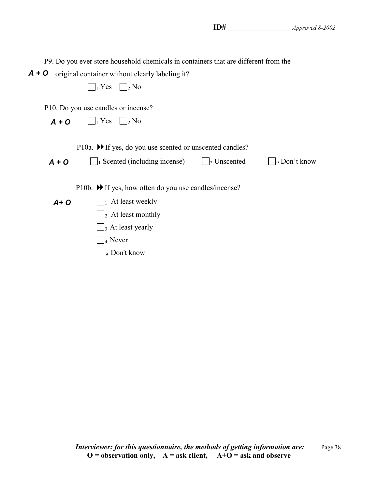P9. Do you ever store household chemicals in containers that are different from the A + O original container without clearly labeling it?  $\Box_1$  Yes  $\Box_2$  No P10. Do you use candles or incense?  $\Box_1$  Yes  $\Box_2$  No P10a.  $\blacktriangleright$  If yes, do you use scented or unscented candles?  $\Box_1$  Scented (including incense)  $\Box_2$  Unscented  $\Box_9$  Don't know P10b.  $\blacktriangleright$  If yes, how often do you use candles/incense?  $\Box$ <sub>1</sub> At least weekly  $\Box$ <sub>2</sub> At least monthly  $\Box$ <sub>3</sub> At least yearly  $\Box$ 4 Never  $\Box$ <sub>9</sub> Don't know *A + O A + O A+ O*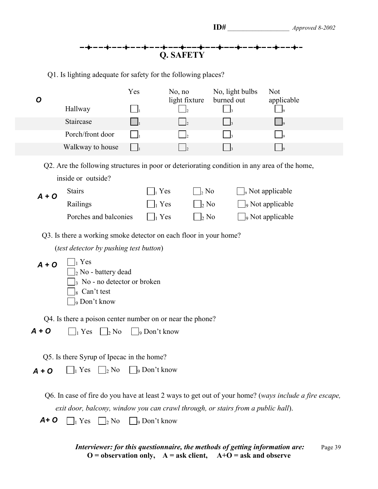## --**\*---\*---\*---\*---\*---\*---\*---\*---\***<br>Q. SAFETY  $-$ +

Q1. Is lighting adequate for safety for the following places?

| $\boldsymbol{O}$ | Hallway                                                                                                                                                                                                                            | Yes                            | No, no<br>light fixture | No, light bulbs<br>burned out | <b>Not</b><br>applicable                                                                              |
|------------------|------------------------------------------------------------------------------------------------------------------------------------------------------------------------------------------------------------------------------------|--------------------------------|-------------------------|-------------------------------|-------------------------------------------------------------------------------------------------------|
|                  | Staircase                                                                                                                                                                                                                          |                                |                         |                               |                                                                                                       |
|                  | Porch/front door                                                                                                                                                                                                                   |                                |                         |                               |                                                                                                       |
|                  | Walkway to house                                                                                                                                                                                                                   |                                |                         |                               |                                                                                                       |
|                  | Q2. Are the following structures in poor or deteriorating condition in any area of the home,                                                                                                                                       |                                |                         |                               |                                                                                                       |
|                  | inside or outside?                                                                                                                                                                                                                 |                                |                         |                               |                                                                                                       |
| $A + O$          | <b>Stairs</b>                                                                                                                                                                                                                      |                                | Yes<br>$\frac{1}{2}$ No |                               | $\Box$ <sub>9</sub> Not applicable                                                                    |
|                  | Railings                                                                                                                                                                                                                           | $\vert_1$ Yes                  | $\frac{1}{2}$ No        |                               | Not applicable                                                                                        |
|                  | Porches and balconies                                                                                                                                                                                                              | $\Box_1$ Yes                   | $\Box_2$ No             |                               | $\Box$ <sub>9</sub> Not applicable                                                                    |
| $A + O$          | Q3. Is there a working smoke detector on each floor in your home?<br>(test detector by pushing test button)<br>$\vert_1$ Yes<br>$\vert_2$ No - battery dead<br>No - no detector or broken<br>Can't test<br><sub>9</sub> Don't know |                                |                         |                               |                                                                                                       |
|                  | Q4. Is there a poison center number on or near the phone?                                                                                                                                                                          |                                |                         |                               |                                                                                                       |
| $A + O$          | $\Box_2$ No<br>$\vert_1$ Yes                                                                                                                                                                                                       | $\Box$ <sub>9</sub> Don't know |                         |                               |                                                                                                       |
| $A + O$          | Q5. Is there Syrup of Ipecac in the home?<br>$\vert$ Yes $\vert$ $\vert$ <sub>2</sub> No                                                                                                                                           | $\bigsqcup_{9}$ Don't know     |                         |                               |                                                                                                       |
|                  |                                                                                                                                                                                                                                    |                                |                         |                               | Q6. In case of fire do you have at least 2 ways to get out of your home? (ways include a fire escape, |
|                  | exit door, balcony, window you can crawl through, or stairs from a public hall).                                                                                                                                                   |                                |                         |                               |                                                                                                       |

 $\mathsf{A}$  +  $\mathsf{O}$   $\Box$  Yes  $\Box$ <sub>2</sub> No  $\Box$ <sub>9</sub> Don't know

|  | Interviewer: for this questionnaire, the methods of getting information are: | Page 39 |
|--|------------------------------------------------------------------------------|---------|
|  | $O =$ observation only, $A =$ ask client, $A+O =$ ask and observe            |         |